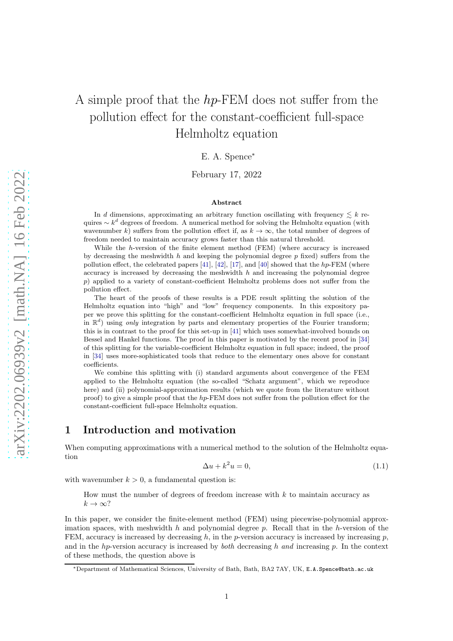# A simple proof that the hp-FEM does not suffer from the pollution effect for the constant-coefficient full-space Helmholtz equation

E. A. Spence<sup>∗</sup>

February 17, 2022

#### Abstract

In d dimensions, approximating an arbitrary function oscillating with frequency  $\leq k$  requires  $\sim k^d$  degrees of freedom. A numerical method for solving the Helmholtz equation (with wavenumber k) suffers from the pollution effect if, as  $k \to \infty$ , the total number of degrees of freedom needed to maintain accuracy grows faster than this natural threshold.

While the h-version of the finite element method (FEM) (where accuracy is increased by decreasing the meshwidth h and keeping the polynomial degree  $p$  fixed) suffers from the pollution effect, the celebrated papers [\[41\]](#page-22-0), [\[42\]](#page-22-1), [\[17\]](#page-21-0), and [\[40\]](#page-22-2) showed that the  $hp$ -FEM (where accuracy is increased by decreasing the meshwidth  $h$  and increasing the polynomial degree p) applied to a variety of constant-coefficient Helmholtz problems does not suffer from the pollution effect.

The heart of the proofs of these results is a PDE result splitting the solution of the Helmholtz equation into "high" and "low" frequency components. In this expository paper we prove this splitting for the constant-coefficient Helmholtz equation in full space (i.e., in  $\mathbb{R}^d$ ) using only integration by parts and elementary properties of the Fourier transform; this is in contrast to the proof for this set-up in [\[41\]](#page-22-0) which uses somewhat-involved bounds on Bessel and Hankel functions. The proof in this paper is motivated by the recent proof in [\[34\]](#page-21-1) of this splitting for the variable-coefficient Helmholtz equation in full space; indeed, the proof in [\[34\]](#page-21-1) uses more-sophisticated tools that reduce to the elementary ones above for constant coefficients.

We combine this splitting with (i) standard arguments about convergence of the FEM applied to the Helmholtz equation (the so-called "Schatz argument", which we reproduce here) and (ii) polynomial-approximation results (which we quote from the literature without proof) to give a simple proof that the  $hp$ -FEM does not suffer from the pollution effect for the constant-coefficient full-space Helmholtz equation.

## 1 Introduction and motivation

When computing approximations with a numerical method to the solution of the Helmholtz equation

<span id="page-0-0"></span>
$$
\Delta u + k^2 u = 0,\tag{1.1}
$$

with wavenumber  $k > 0$ , a fundamental question is:

How must the number of degrees of freedom increase with  $k$  to maintain accuracy as  $k \to \infty$ ?

In this paper, we consider the finite-element method (FEM) using piecewise-polynomial approximation spaces, with meshwidth  $h$  and polynomial degree  $p$ . Recall that in the  $h$ -version of the FEM, accuracy is increased by decreasing  $h$ , in the p-version accuracy is increased by increasing  $p$ , and in the hp-version accuracy is increased by *both* decreasing h and increasing p. In the context of these methods, the question above is

<sup>∗</sup>Department of Mathematical Sciences, University of Bath, Bath, BA2 7AY, UK, E.A.Spence@bath.ac.uk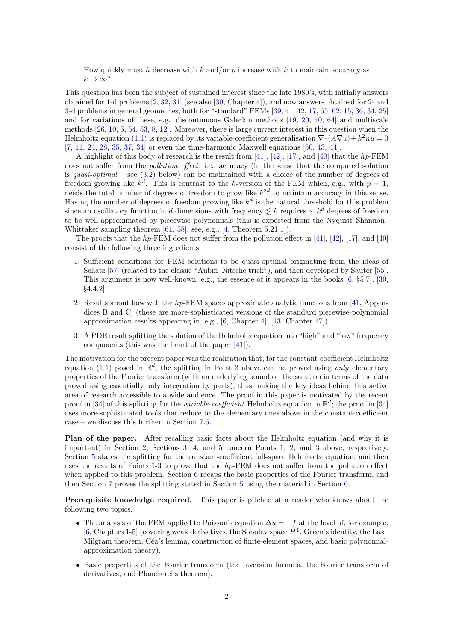How quickly must h decrease with k and/or p increase with k to maintain accuracy as  $k \to \infty$ ?

This question has been the subject of sustained interest since the late 1980's, with initially answers obtained for 1-d problems [\[2,](#page-20-0) [32,](#page-21-2) [31\]](#page-21-3) (see also [\[30,](#page-21-4) Chapter 4]), and now answers obtained for 2- and 3-d problems in general geometries, both for "standard" FEMs [\[39,](#page-22-3) [41,](#page-22-0) [42,](#page-22-1) [17,](#page-21-0) [65,](#page-22-4) [62,](#page-22-5) [15,](#page-21-5) [36,](#page-22-6) [34,](#page-21-1) [25\]](#page-21-6) and for variations of these, e.g. discontinuous Galerkin methods [\[19,](#page-21-7) [20,](#page-21-8) [40,](#page-22-2) [64\]](#page-22-7) and multiscale methods [\[26,](#page-21-9) [10,](#page-21-10) [5,](#page-20-1) [54,](#page-22-8) [53,](#page-22-9) [8,](#page-21-11) [12\]](#page-21-12). Moreover, there is large current interest in this question when the Helmholtz equation [\(1.1\)](#page-0-0) is replaced by its variable-coefficient generalisation  $\nabla \cdot (A\nabla u) + k^2 nu = 0$ [\[7,](#page-21-13) [11,](#page-21-14) [24,](#page-21-15) [28,](#page-21-16) [35,](#page-21-17) [37,](#page-22-10) [34\]](#page-21-1) or even the time-harmonic Maxwell equations [\[50,](#page-22-11) [43,](#page-22-12) [44\]](#page-22-13).

A highlight of this body of research is the result from [\[41\]](#page-22-0), [\[42\]](#page-22-1), [\[17\]](#page-21-0), and [\[40\]](#page-22-2) that the hp-FEM does not suffer from the *pollution effect*; i.e., accuracy (in the sense that the computed solution is quasi-optimal – see  $(3.2)$  below) can be maintained with a choice of the number of degrees of freedom growing like  $k^d$ . This is contrast to the h-version of the FEM which, e.g., with  $p=1$ , needs the total number of degrees of freedom to grow like  $k^{2d}$  to maintain accuracy in this sense. Having the number of degrees of freedom growing like  $k^d$  is the natural threshold for this problem since an oscillatory function in d dimensions with frequency  $\lesssim k$  requires  $\sim k^d$  degrees of freedom to be well-approximated by piecewise polynomials (this is expected from the Nyquist–Shannon– Whittaker sampling theorem [\[61,](#page-22-14) [58\]](#page-22-15); see, e.g., [\[4,](#page-20-2) Theorem 5.21.1]).

The proofs that the hp-FEM does not suffer from the pollution effect in [\[41\]](#page-22-0), [\[42\]](#page-22-1), [\[17\]](#page-21-0), and [\[40\]](#page-22-2) consist of the following three ingredients.

- 1. Sufficient conditions for FEM solutions to be quasi-optimal originating from the ideas of Schatz [\[57\]](#page-22-16) (related to the classic "Aubin–Nitsche trick"), and then developed by Sauter [\[55\]](#page-22-17). This argument is now well-known; e.g., the essence of it appears in the books [\[6,](#page-21-18) §5.7], [\[30,](#page-21-4) §4.4.2].
- 2. Results about how well the  $hp$ -FEM spaces approximate analytic functions from [\[41,](#page-22-0) Appendices B and C] (these are more-sophisticated versions of the standard piecewise-polynomial approximation results appearing in, e.g., [\[6,](#page-21-18) Chapter 4], [\[13,](#page-21-19) Chapter 17]).
- 3. A PDE result splitting the solution of the Helmholtz equation into "high" and "low" frequency components (this was the heart of the paper [\[41\]](#page-22-0)).

The motivation for the present paper was the realisation that, for the constant-coefficient Helmholtz equation [\(1.1\)](#page-0-0) posed in  $\mathbb{R}^d$ , the splitting in Point 3 above can be proved using only elementary properties of the Fourier transform (with an underlying bound on the solution in terms of the data proved using essentially only integration by parts), thus making the key ideas behind this active area of research accessible to a wide audience. The proof in this paper is motivated by the recent proof in [\[34\]](#page-21-1) of this splitting for the *variable-coefficient* Helmholtz equation in  $\mathbb{R}^d$ ; the proof in [34] uses more-sophisticated tools that reduce to the elementary ones above in the constant-coefficient case – we discuss this further in Section [7.6.](#page-17-0)

Plan of the paper. After recalling basic facts about the Helmholtz equation (and why it is important) in Section [2,](#page-2-0) Sections [3,](#page-7-1) [4,](#page-9-0) and [5](#page-11-0) concern Points 1, 2, and 3 above, respectively. Section [5](#page-11-0) states the splitting for the constant-coefficient full-space Helmholtz equation, and then uses the results of Points 1-3 to prove that the  $hp$ -FEM does not suffer from the pollution effect when applied to this problem. Section [6](#page-13-0) recaps the basic properties of the Fourier transform, and then Section [7](#page-15-0) proves the splitting stated in Section [5](#page-11-0) using the material in Section [6.](#page-13-0)

Prerequisite knowledge required. This paper is pitched at a reader who knows about the following two topics.

- The analysis of the FEM applied to Poisson's equation  $\Delta u = -f$  at the level of, for example, [\[6,](#page-21-18) Chapters 1-5] (covering weak derivatives, the Sobolev space  $H<sup>1</sup>$ , Green's identity, the Lax– Milgram theorem, Céa's lemma, construction of finite-element spaces, and basic polynomialapproximation theory).
- Basic properties of the Fourier transform (the inversion formula, the Fourier transform of derivatives, and Plancherel's theorem).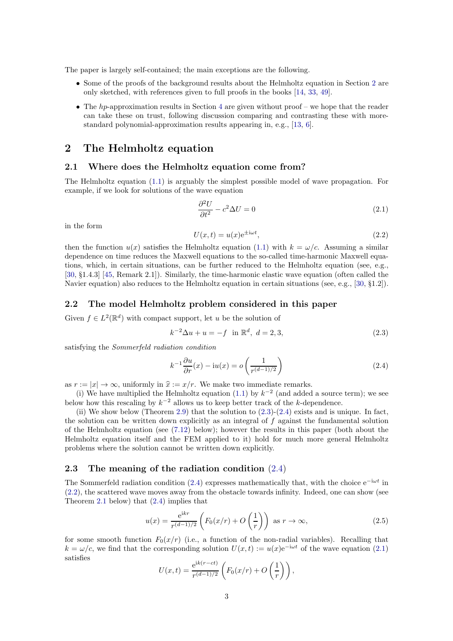The paper is largely self-contained; the main exceptions are the following.

- Some of the proofs of the background results about the Helmholtz equation in Section [2](#page-2-0) are only sketched, with references given to full proofs in the books [\[14,](#page-21-20) [33,](#page-21-21) [49\]](#page-22-18).
- The  $hp$ -approximation results in Section [4](#page-9-0) are given without proof we hope that the reader can take these on trust, following discussion comparing and contrasting these with morestandard polynomial-approximation results appearing in, e.g., [\[13,](#page-21-19) [6\]](#page-21-18).

## <span id="page-2-0"></span>2 The Helmholtz equation

#### 2.1 Where does the Helmholtz equation come from?

The Helmholtz equation  $(1.1)$  is arguably the simplest possible model of wave propagation. For example, if we look for solutions of the wave equation

<span id="page-2-4"></span>
$$
\frac{\partial^2 U}{\partial t^2} - c^2 \Delta U = 0 \tag{2.1}
$$

in the form

<span id="page-2-3"></span>
$$
U(x,t) = u(x)e^{\pm i\omega t},\tag{2.2}
$$

then the function  $u(x)$  satisfies the Helmholtz equation [\(1.1\)](#page-0-0) with  $k = \omega/c$ . Assuming a similar dependence on time reduces the Maxwell equations to the so-called time-harmonic Maxwell equations, which, in certain situations, can be further reduced to the Helmholtz equation (see, e.g., [\[30,](#page-21-4) §1.4.3] [\[45,](#page-22-19) Remark 2.1]). Similarly, the time-harmonic elastic wave equation (often called the Navier equation) also reduces to the Helmholtz equation in certain situations (see, e.g., [\[30,](#page-21-4) §1.2]).

#### 2.2 The model Helmholtz problem considered in this paper

Given  $f \in L^2(\mathbb{R}^d)$  with compact support, let u be the solution of

<span id="page-2-1"></span>
$$
k^{-2}\Delta u + u = -f \quad \text{in } \mathbb{R}^d, \ d = 2, 3,
$$
\n(2.3)

satisfying the Sommerfeld radiation condition

<span id="page-2-2"></span>
$$
k^{-1}\frac{\partial u}{\partial r}(x) - i u(x) = o\left(\frac{1}{r^{(d-1)/2}}\right)
$$
\n(2.4)

as  $r := |x| \to \infty$ , uniformly in  $\hat{x} := x/r$ . We make two immediate remarks.

(i) We have multiplied the Helmholtz equation [\(1.1\)](#page-0-0) by  $k^{-2}$  (and added a source term); we see below how this rescaling by  $k^{-2}$  allows us to keep better track of the k-dependence.

(ii) We show below (Theorem [2.9\)](#page-6-0) that the solution to  $(2.3)-(2.4)$  $(2.3)-(2.4)$  exists and is unique. In fact, the solution can be written down explicitly as an integral of  $f$  against the fundamental solution of the Helmholtz equation (see [\(7.12\)](#page-17-1) below); however the results in this paper (both about the Helmholtz equation itself and the FEM applied to it) hold for much more general Helmholtz problems where the solution cannot be written down explicitly.

#### 2.3 The meaning of the radiation condition [\(2.4\)](#page-2-2)

The Sommerfeld radiation condition [\(2.4\)](#page-2-2) expresses mathematically that, with the choice  $e^{-i\omega t}$  in [\(2.2\)](#page-2-3), the scattered wave moves away from the obstacle towards infinity. Indeed, one can show (see Theorem [2.1](#page-3-0) below) that [\(2.4\)](#page-2-2) implies that

<span id="page-2-5"></span>
$$
u(x) = \frac{e^{ikr}}{r^{(d-1)/2}} \left( F_0(x/r) + O\left(\frac{1}{r}\right) \right) \text{ as } r \to \infty,
$$
\n(2.5)

for some smooth function  $F_0(x/r)$  (i.e., a function of the non-radial variables). Recalling that  $k = \omega/c$ , we find that the corresponding solution  $U(x, t) := u(x)e^{-i\omega t}$  of the wave equation [\(2.1\)](#page-2-4) satisfies

$$
U(x,t) = \frac{e^{ik(r-ct)}}{r^{(d-1)/2}} \left( F_0(x/r) + O\left(\frac{1}{r}\right) \right),
$$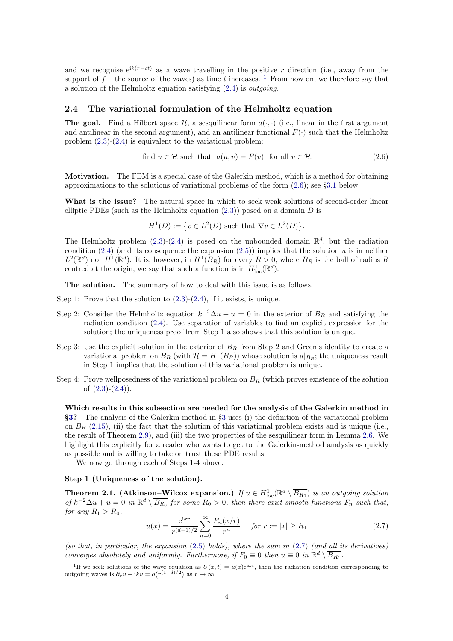and we recognise  $e^{ik(r-ct)}$  as a wave travelling in the positive r direction (i.e., away from the support of  $f$  – the source of the waves) as time t increases. <sup>[1](#page-3-1)</sup> From now on, we therefore say that a solution of the Helmholtz equation satisfying  $(2.4)$  is *outgoing*.

#### 2.4 The variational formulation of the Helmholtz equation

**The goal.** Find a Hilbert space  $\mathcal{H}$ , a sesquilinear form  $a(\cdot, \cdot)$  (i.e., linear in the first argument and antilinear in the second argument), and an antilinear functional  $F(\cdot)$  such that the Helmholtz problem [\(2.3\)](#page-2-1)-[\(2.4\)](#page-2-2) is equivalent to the variational problem:

<span id="page-3-2"></span>find 
$$
u \in \mathcal{H}
$$
 such that  $a(u, v) = F(v)$  for all  $v \in \mathcal{H}$ . (2.6)

Motivation. The FEM is a special case of the Galerkin method, which is a method for obtaining approximations to the solutions of variational problems of the form [\(2.6\)](#page-3-2); see §[3.1](#page-7-2) below.

What is the issue? The natural space in which to seek weak solutions of second-order linear elliptic PDEs (such as the Helmholtz equation  $(2.3)$ ) posed on a domain D is

$$
H^1(D) := \{ v \in L^2(D) \text{ such that } \nabla v \in L^2(D) \}.
$$

The Helmholtz problem  $(2.3)-(2.4)$  $(2.3)-(2.4)$  is posed on the unbounded domain  $\mathbb{R}^d$ , but the radiation condition [\(2.4\)](#page-2-2) (and its consequence the expansion [\(2.5\)](#page-2-5)) implies that the solution u is in neither  $L^2(\mathbb{R}^d)$  nor  $H^1(\mathbb{R}^d)$ . It is, however, in  $H^1(B_R)$  for every  $R>0$ , where  $B_R$  is the ball of radius R centred at the origin; we say that such a function is in  $H_{\text{loc}}^1(\mathbb{R}^d)$ .

The solution. The summary of how to deal with this issue is as follows.

- Step 1: Prove that the solution to  $(2.3)-(2.4)$  $(2.3)-(2.4)$ , if it exists, is unique.
- Step 2: Consider the Helmholtz equation  $k^{-2}\Delta u + u = 0$  in the exterior of  $B_R$  and satisfying the radiation condition [\(2.4\)](#page-2-2). Use separation of variables to find an explicit expression for the solution; the uniqueness proof from Step 1 also shows that this solution is unique.
- Step 3: Use the explicit solution in the exterior of  $B_R$  from Step 2 and Green's identity to create a variational problem on  $B_R$  (with  $\mathcal{H} = H^1(B_R)$ ) whose solution is  $u|_{B_R}$ ; the uniqueness result in Step 1 implies that the solution of this variational problem is unique.
- Step 4: Prove wellposedness of the variational problem on  $B_R$  (which proves existence of the solution of  $(2.3)-(2.4)$  $(2.3)-(2.4)$ .

Which results in this subsection are needed for the analysis of the Galerkin method in §[3?](#page-7-1) The analysis of the Galerkin method in §[3](#page-7-1) uses (i) the definition of the variational problem on  $B_R$  [\(2.15\)](#page-5-0), (ii) the fact that the solution of this variational problem exists and is unique (i.e., the result of Theorem [2.9\)](#page-6-0), and (iii) the two properties of the sesquilinear form in Lemma [2.6.](#page-6-1) We highlight this explicitly for a reader who wants to get to the Galerkin-method analysis as quickly as possible and is willing to take on trust these PDE results.

We now go through each of Steps 1-4 above.

#### Step 1 (Uniqueness of the solution).

<span id="page-3-0"></span>**Theorem 2.1.** (Atkinson–Wilcox expansion.) If  $u \in H_{loc}^1(\mathbb{R}^d \setminus \overline{B_{R_0}})$  is an outgoing solution of  $k^{-2}\Delta u + u = 0$  in  $\mathbb{R}^d \setminus \overline{B_{R_0}}$  for some  $R_0 > 0$ , then there exist smooth functions  $F_n$  such that, for any  $R_1 > R_0$ ,

<span id="page-3-3"></span>
$$
u(x) = \frac{e^{ikr}}{r^{(d-1)/2}} \sum_{n=0}^{\infty} \frac{F_n(x/r)}{r^n} \quad \text{for } r := |x| \ge R_1 \tag{2.7}
$$

(so that, in particular, the expansion  $(2.5)$  holds), where the sum in  $(2.7)$  (and all its derivatives) converges absolutely and uniformly. Furthermore, if  $F_0 \equiv 0$  then  $u \equiv 0$  in  $\mathbb{R}^d \setminus \overline{B_{R_1}}$ .

<span id="page-3-1"></span><sup>&</sup>lt;sup>1</sup>If we seek solutions of the wave equation as  $U(x,t) = u(x)e^{i\omega t}$ , then the radiation condition corresponding to outgoing waves is  $\partial_r u + iku = o(r^{(1-d)/2})$  as  $r \to \infty$ .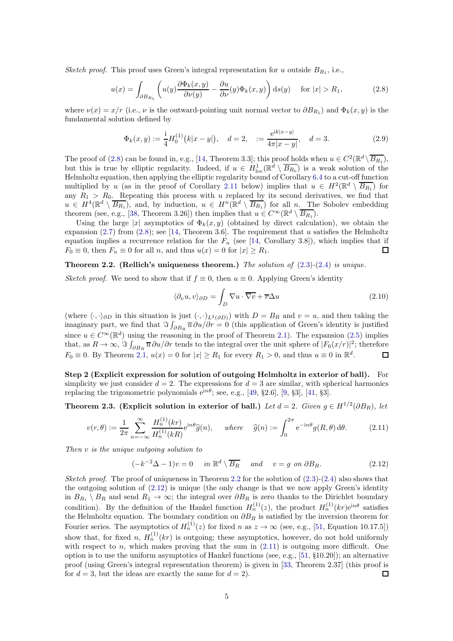Sketch proof. This proof uses Green's integral representation for u outside  $B_{R_1}$ , i.e.,

<span id="page-4-0"></span>
$$
u(x) = \int_{\partial B_{R_1}} \left( u(y) \frac{\partial \Phi_k(x, y)}{\partial \nu(y)} - \frac{\partial u}{\partial \nu}(y) \Phi_k(x, y) \right) ds(y) \quad \text{for } |x| > R_1,
$$
 (2.8)

where  $\nu(x) = x/r$  (i.e.,  $\nu$  is the outward-pointing unit normal vector to  $\partial B_{R_1}$ ) and  $\Phi_k(x, y)$  is the fundamental solution defined by

<span id="page-4-5"></span>
$$
\Phi_k(x, y) := \frac{1}{4} H_0^{(1)}(k|x - y|), \quad d = 2, \quad := \frac{e^{ik|x - y|}}{4\pi|x - y|}, \quad d = 3. \tag{2.9}
$$

The proof of [\(2.8\)](#page-4-0) can be found in, e.g., [\[14,](#page-21-20) Theorem 3.3]; this proof holds when  $u \in C^2(\mathbb{R}^d \setminus \overline{B_{R_1}})$ , but this is true by elliptic regularity. Indeed, if  $u \in H^1_{loc}(\mathbb{R}^d \setminus \overline{B_{R_0}})$  is a weak solution of the Helmholtz equation, then applying the elliptic regularity bound of Corollary [6.4](#page-15-1) to a cut-off function multiplied by u (as in the proof of Corollary [2.11](#page-7-3) below) implies that  $u \in H^2(\mathbb{R}^d \setminus \overline{B_{R_1}})$  for any  $R_1 > R_0$ . Repeating this process with u replaced by its second derivatives, we find that  $u \in H^4(\mathbb{R}^d \setminus \overline{B_{R_1}})$ , and, by induction,  $u \in H^n(\mathbb{R}^d \setminus \overline{B_{R_1}})$  for all n. The Sobolev embedding theorem (see, e.g., [\[38,](#page-22-20) Theorem 3.26]) then implies that  $u \in C^{\infty}(\mathbb{R}^d \setminus \overline{B_{R_1}})$ .

Using the large |x| asymptotics of  $\Phi_k(x, y)$  (obtained by direct calculation), we obtain the expansion  $(2.7)$  from  $(2.8)$ ; see [\[14,](#page-21-20) Theorem 3.6]. The requirement that u satisfies the Helmholtz equation implies a recurrence relation for the  $F_n$  (see [\[14,](#page-21-20) Corollary 3.8]), which implies that if  $F_0 \equiv 0$ , then  $F_n \equiv 0$  for all n, and thus  $u(x) = 0$  for  $|x| \ge R_1$ .  $\Box$ 

#### <span id="page-4-1"></span>**Theorem 2.2.** (Rellich's uniqueness theorem.) The solution of  $(2.3)-(2.4)$  $(2.3)-(2.4)$  $(2.3)-(2.4)$  is unique.

Sketch proof. We need to show that if  $f \equiv 0$ , then  $u \equiv 0$ . Applying Green's identity

<span id="page-4-4"></span>
$$
\langle \partial_{\nu} u, v \rangle_{\partial D} = \int_{D} \nabla u \cdot \overline{\nabla v} + \overline{v} \Delta u \tag{2.10}
$$

(where  $\langle \cdot, \cdot \rangle_{\partial D}$  in this situation is just  $(\cdot, \cdot)_{L^2(\partial D)})$  with  $D = B_R$  and  $v = u$ , and then taking the imaginary part, we find that  $\Im \int_{\partial B_R} \overline{u} \partial u / \partial r = 0$  (this application of Green's identity is justified since  $u \in C^{\infty}(\mathbb{R}^d)$  using the reasoning in the proof of Theorem [2.1\)](#page-3-0). The expansion [\(2.5\)](#page-2-5) implies that, as  $R \to \infty$ ,  $\Im \int_{\partial B_R} \overline{u} \partial u / \partial r$  tends to the integral over the unit sphere of  $|F_0(x/r)|^2$ ; therefore  $F_0 \equiv 0$ . By Theorem [2.1,](#page-3-0)  $u(x) = 0$  for  $|x| \ge R_1$  for every  $R_1 > 0$ , and thus  $u \equiv 0$  in  $\mathbb{R}^d$ .  $\Box$ 

Step 2 (Explicit expression for solution of outgoing Helmholtz in exterior of ball). For simplicity we just consider  $d = 2$ . The expressions for  $d = 3$  are similar, with spherical harmonics replacing the trigonometric polynomials  $e^{in\theta}$ ; see, e.g., [\[49,](#page-22-18) §2.6], [\[9,](#page-21-22) §3], [\[41,](#page-22-0) §3].

Theorem 2.3. (Explicit solution in exterior of ball.) Let  $d = 2$ . Given  $g \in H^{1/2}(\partial B_R)$ , let

<span id="page-4-3"></span>
$$
v(r,\theta) := \frac{1}{2\pi} \sum_{n=-\infty}^{\infty} \frac{H_n^{(1)}(kr)}{H_n^{(1)}(kR)} e^{in\theta} \hat{g}(n), \quad where \quad \hat{g}(n) := \int_0^{2\pi} e^{-in\theta} g(R,\theta) d\theta.
$$
 (2.11)

Then v is the unique outgoing solution to

<span id="page-4-2"></span>
$$
(-k^{-2}\Delta - 1)v = 0 \quad in \ \mathbb{R}^d \setminus \overline{B_R} \quad and \quad v = g \ on \ \partial B_R. \tag{2.12}
$$

Sketch proof. The proof of uniqueness in Theorem [2.2](#page-4-1) for the solution of  $(2.3)-(2.4)$  $(2.3)-(2.4)$  also shows that the outgoing solution of  $(2.12)$  is unique (the only change is that we now apply Green's identity in  $B_{R_1} \setminus B_R$  and send  $R_1 \to \infty$ ; the integral over  $\partial B_R$  is zero thanks to the Dirichlet boundary condition). By the definition of the Hankel function  $H_n^{(1)}(z)$ , the product  $H_n^{(1)}(kr)e^{in\theta}$  satisfies the Helmholtz equation. The boundary condition on  $\partial B_R$  is satisfied by the inversion theorem for Fourier series. The asymptotics of  $H_n^{(1)}(z)$  for fixed n as  $z \to \infty$  (see, e.g., [\[51,](#page-22-21) Equation 10.17.5]) show that, for fixed n,  $H_n^{(1)}(kr)$  is outgoing; these asymptotics, however, do not hold uniformly with respect to n, which makes proving that the sum in  $(2.11)$  is outgoing more difficult. One option is to use the uniform asymptotics of Hankel functions (see, e.g., [\[51,](#page-22-21) §10.20]); an alternative proof (using Green's integral representation theorem) is given in [\[33,](#page-21-21) Theorem 2.37] (this proof is for  $d = 3$ , but the ideas are exactly the same for  $d = 2$ .  $\Box$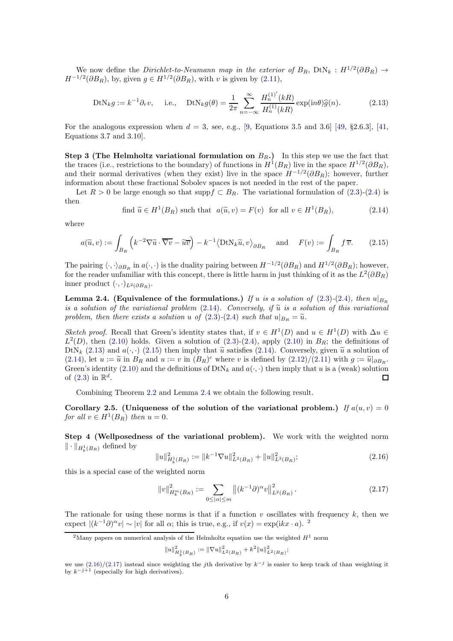We now define the *Dirichlet-to-Neumann map in the exterior of*  $B_R$ ,  $DtN_k$  :  $H^{1/2}(\partial B_R) \rightarrow$  $H^{-1/2}(\partial B_R)$ , by, given  $g \in H^{1/2}(\partial B_R)$ , with v is given by  $(2.11)$ ,

<span id="page-5-2"></span>
$$
DtN_k g := k^{-1} \partial_r v, \quad \text{i.e.,} \quad DtN_k g(\theta) = \frac{1}{2\pi} \sum_{n=-\infty}^{\infty} \frac{H_n^{(1)'}(kR)}{H_n^{(1)}(kR)} \exp(\mathrm{i}n\theta) \hat{g}(n). \tag{2.13}
$$

For the analogous expression when  $d = 3$ , see, e.g., [\[9,](#page-21-22) Equations 3.5 and 3.6] [\[49,](#page-22-18) §2.6.3], [\[41,](#page-22-0) Equations 3.7 and 3.10].

Step 3 (The Helmholtz variational formulation on  $B_R$ .) In this step we use the fact that the traces (i.e., restrictions to the boundary) of functions in  $H^1(B_R)$  live in the space  $H^{1/2}(\partial B_R)$ , and their normal derivatives (when they exist) live in the space  $H^{-1/2}(\partial B_R)$ ; however, further information about these fractional Sobolev spaces is not needed in the rest of the paper.

Let  $R > 0$  be large enough so that supp $f \subset B_R$ . The variational formulation of [\(2.3\)](#page-2-1)-[\(2.4\)](#page-2-2) is then

<span id="page-5-1"></span>find 
$$
\widetilde{u} \in H^1(B_R)
$$
 such that  $a(\widetilde{u}, v) = F(v)$  for all  $v \in H^1(B_R)$ , 
$$
(2.14)
$$

where

<span id="page-5-0"></span>
$$
a(\widetilde{u}, v) := \int_{B_R} \left( k^{-2} \nabla \widetilde{u} \cdot \overline{\nabla v} - \widetilde{u} \overline{v} \right) - k^{-1} \langle \text{DtN}_k \widetilde{u}, v \rangle_{\partial B_R} \quad \text{and} \quad F(v) := \int_{B_R} f \overline{v}.
$$
 (2.15)

The pairing  $\langle \cdot, \cdot \rangle_{\partial B_R}$  in  $a(\cdot, \cdot)$  is the duality pairing between  $H^{-1/2}(\partial B_R)$  and  $H^{1/2}(\partial B_R)$ ; however, for the reader unfamiliar with this concept, there is little harm in just thinking of it as the  $L^2(\partial B_R)$ inner product  $(\cdot, \cdot)_{L^2(\partial B_R)}$ .

<span id="page-5-3"></span>**Lemma 2.4.** (Equivalence of the formulations.) If u is a solution of [\(2.3\)](#page-2-1)-[\(2.4\)](#page-2-2), then  $u|_{B_R}$ is a solution of the variational problem  $(2.14)$ . Conversely, if  $\tilde{u}$  is a solution of this variational problem, then there exists a solution u of  $(2.3)-(2.4)$  $(2.3)-(2.4)$  $(2.3)-(2.4)$  such that  $u|_{B_R} = \tilde{u}$ .

Sketch proof. Recall that Green's identity states that, if  $v \in H^1(D)$  and  $u \in H^1(D)$  with  $\Delta u \in$  $L^2(D)$ , then [\(2.10\)](#page-4-4) holds. Given a solution of [\(2.3\)](#page-2-1)-[\(2.4\)](#page-2-2), apply (2.10) in  $B_R$ ; the definitions of DtN<sub>k</sub> [\(2.13\)](#page-5-2) and  $a(\cdot, \cdot)$  [\(2.15\)](#page-5-0) then imply that  $\tilde{u}$  satisfies [\(2.14\)](#page-5-1). Conversely, given  $\tilde{u}$  a solution of [\(2.14\)](#page-5-1), let  $u := \tilde{u}$  in  $B_R$  and  $u := v$  in  $(B_R)^c$  where v is defined by  $(2.12)/(2.11)$  $(2.12)/(2.11)$  with  $g := \tilde{u}|_{\partial B_R}$ .<br>Cover is dentity (2.10) and the definitions of  $D^k N$ , and  $e(x)$  then impleted via  $e$  (reads) addition Green's identity [\(2.10\)](#page-4-4) and the definitions of  $DtN_k$  and  $a(\cdot, \cdot)$  then imply that u is a (weak) solution of  $(2.3)$  in  $\mathbb{R}^d$ .  $\Box$ 

Combining Theorem [2.2](#page-4-1) and Lemma [2.4](#page-5-3) we obtain the following result.

<span id="page-5-7"></span>Corollary 2.5. (Uniqueness of the solution of the variational problem.) If  $a(u, v) = 0$ for all  $v \in H^1(B_R)$  then  $u = 0$ .

Step 4 (Wellposedness of the variational problem). We work with the weighted norm  $\|\cdot\|_{H^1_k(B_R)}$  defined by

<span id="page-5-5"></span>
$$
||u||_{H_k^1(B_R)}^2 := ||k^{-1}\nabla u||_{L^2(B_R)}^2 + ||u||_{L^2(B_R)}^2;
$$
\n(2.16)

this is a special case of the weighted norm

<span id="page-5-6"></span>
$$
||v||_{H_k^m(B_R)}^2 := \sum_{0 \le |\alpha| \le m} ||(k^{-1}\partial)^\alpha v||_{L^2(B_R)}^2.
$$
 (2.17)

The rationale for using these norms is that if a function  $v$  oscillates with frequency  $k$ , then we expect  $|(k^{-1}\partial)^{\alpha}v| \sim |v|$  for all  $\alpha$ ; this is true, e.g., if  $v(x) = \exp(ikx \cdot a)$ . <sup>[2](#page-5-4)</sup>

$$
||u||^2_{H^1_k(B_R)} := ||\nabla u||^2_{L^2(B_R)} + k^2 ||u||^2_{L^2(B_R)};
$$

<span id="page-5-4"></span><sup>&</sup>lt;sup>2</sup>Many papers on numerical analysis of the Helmholtz equation use the weighted  $H^1$  norm

we use  $(2.16)/(2.17)$  $(2.16)/(2.17)$  instead since weighting the jth derivative by  $k^{-j}$  is easier to keep track of than weighting it by  $k^{-j+1}$  (especially for high derivatives).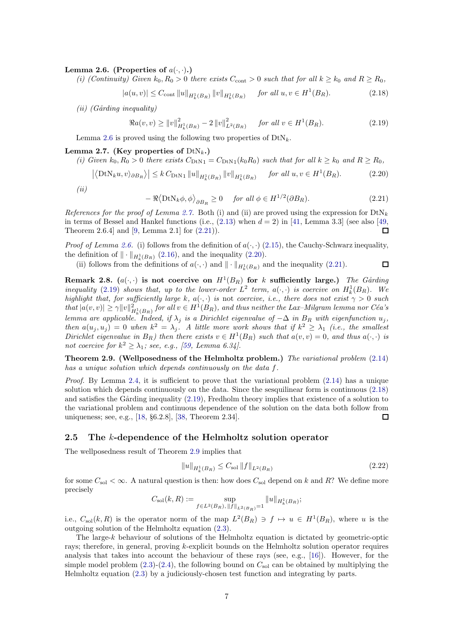#### <span id="page-6-1"></span>Lemma 2.6. (Properties of  $a(\cdot, \cdot)$ .)

(i) (Continuity) Given  $k_0, R_0 > 0$  there exists  $C_{\text{cont}} > 0$  such that for all  $k \geq k_0$  and  $R \geq R_0$ ,

<span id="page-6-6"></span> $|a(u, v)| \leq C_{\text{cont}} \|u\|_{H^1_k(B_R)} \|v\|_{H^1_k(B_R)} \quad \text{for all } u, v \in H^1(B_R).$  (2.18)

 $(ii)$  (Gårding inequality)

$$
\Re a(v, v) \ge ||v||_{H_k^1(B_R)}^2 - 2||v||_{L^2(B_R)}^2 \quad \text{for all } v \in H^1(B_R). \tag{2.19}
$$

Lemma [2.6](#page-6-1) is proved using the following two properties of  $DtN_k$ .

#### <span id="page-6-2"></span>Lemma 2.7. (Key properties of  $DtN_k$ .)

(i) Given  $k_0, R_0 > 0$  there exists  $C_{\text{DtN1}} = C_{\text{DtN1}}(k_0 R_0)$  such that for all  $k \ge k_0$  and  $R \ge R_0$ ,

<span id="page-6-4"></span>
$$
\left| \left\langle \text{DtN}_{k} u, v \right\rangle_{\partial B_R} \right\rangle \right| \leq k \, C_{\text{DtN1}} \left\| u \right\|_{H^1_k(B_R)} \left\| v \right\|_{H^1_k(B_R)} \quad \text{for all } u, v \in H^1(B_R). \tag{2.20}
$$

 $(ii)$ 

<span id="page-6-3"></span>
$$
-\Re\langle \text{DtN}_k \phi, \phi \rangle_{\partial B_R} \ge 0 \quad \text{for all } \phi \in H^{1/2}(\partial B_R). \tag{2.21}
$$

<span id="page-6-5"></span> $\Box$ 

References for the proof of Lemma [2.7.](#page-6-2) Both (i) and (ii) are proved using the expression for  $DtN_k$ in terms of Bessel and Hankel functions (i.e.,  $(2.13)$  when  $d = 2$ ) in [\[41,](#page-22-0) Lemma 3.3] (see also [\[49,](#page-22-18)  $\Box$ Theorem 2.6.4] and [\[9,](#page-21-22) Lemma 2.1] for [\(2.21\)](#page-6-3)).

*Proof of Lemma [2.6.](#page-6-1)* (i) follows from the definition of  $a(\cdot, \cdot)$  [\(2.15\)](#page-5-0), the Cauchy-Schwarz inequality, the definition of  $\|\cdot\|_{H^1_k(B_R)}$  [\(2.16\)](#page-5-5), and the inequality [\(2.20\)](#page-6-4).

(ii) follows from the definitions of  $a(\cdot, \cdot)$  and  $\|\cdot\|_{H^1_k(B_R)}$  and the inequality [\(2.21\)](#page-6-3).

Remark 2.8.  $(a(\cdot, \cdot)$  is not coercive on  $H^1(B_R)$  for k sufficiently large.) The Gårding inequality [\(2.19\)](#page-6-5) shows that, up to the lower-order  $L^2$  term,  $a(\cdot, \cdot)$  is coercive on  $H_k^1(B_R)$ . We highlight that, for sufficiently large k,  $a(\cdot, \cdot)$  is not coercive, i.e., there does not exist  $\gamma > 0$  such  $that$   $|a(v, v)| \ge \gamma ||v||^2_{H^1_k(B_R)}$  for all  $v \in H^1(B_R)$ , and thus neither the Lax–Milgram lemma nor Céa's lemma are applicable. Indeed, if  $\lambda_j$  is a Dirichlet eigenvalue of  $-\Delta$  in  $B_R$  with eigenfunction  $u_j$ , then  $a(u_j, u_j) = 0$  when  $k^2 = \lambda_j$ . A little more work shows that if  $k^2 \geq \lambda_1$  (i.e., the smallest Dirichlet eigenvalue in  $B_R$ ) then there exists  $v \in H^1(B_R)$  such that  $a(v, v) = 0$ , and thus  $a(\cdot, \cdot)$  is not coercive for  $k^2 \geq \lambda_1$ ; see, e.g., [\[59,](#page-22-22) Lemma 6.34].

<span id="page-6-0"></span>Theorem 2.9. (Wellposedness of the Helmholtz problem.) The variational problem  $(2.14)$ has a unique solution which depends continuously on the data f.

*Proof.* By Lemma [2.4,](#page-5-3) it is sufficient to prove that the variational problem  $(2.14)$  has a unique solution which depends continuously on the data. Since the sesquilinear form is continuous [\(2.18\)](#page-6-6) and satisfies the Gårding inequality  $(2.19)$ , Fredholm theory implies that existence of a solution to the variational problem and continuous dependence of the solution on the data both follow from uniqueness; see, e.g., [\[18,](#page-21-23) §6.2.8], [\[38,](#page-22-20) Theorem 2.34].  $\Box$ 

#### 2.5 The k-dependence of the Helmholtz solution operator

The wellposedness result of Theorem [2.9](#page-6-0) implies that

<span id="page-6-7"></span>
$$
||u||_{H_k^1(B_R)} \le C_{\text{sol}} ||f||_{L^2(B_R)} \tag{2.22}
$$

for some  $C_{sol} < \infty$ . A natural question is then: how does  $C_{sol}$  depend on k and R? We define more precisely

$$
C_{\text{sol}}(k,R) := \sup_{f \in L^2(B_R), \|f\|_{L^2(B_R)} = 1} \|u\|_{H^1_k(B_R)};
$$

i.e.,  $C_{\rm sol}(k, R)$  is the operator norm of the map  $L^2(B_R) \ni f \mapsto u \in H^1(B_R)$ , where u is the outgoing solution of the Helmholtz equation [\(2.3\)](#page-2-1).

The large-k behaviour of solutions of the Helmholtz equation is dictated by geometric-optic rays; therefore, in general, proving k-explicit bounds on the Helmholtz solution operator requires analysis that takes into account the behaviour of these rays (see, e.g., [\[16\]](#page-21-24)). However, for the simple model problem  $(2.3)-(2.4)$  $(2.3)-(2.4)$ , the following bound on  $C_{\rm sol}$  can be obtained by multiplying the Helmholtz equation [\(2.3\)](#page-2-1) by a judiciously-chosen test function and integrating by parts.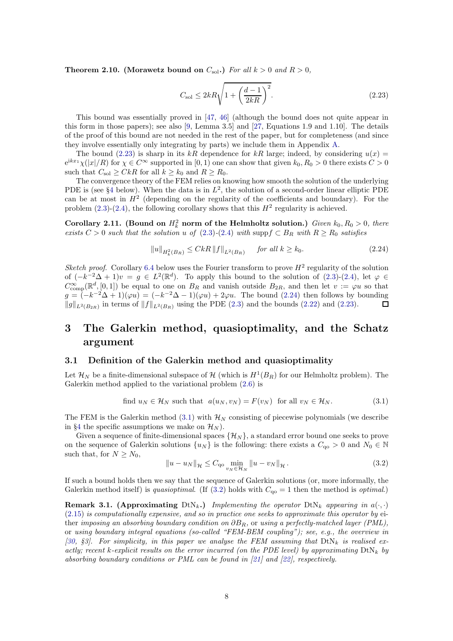<span id="page-7-7"></span>Theorem 2.10. (Morawetz bound on  $C_{sol}$ .) For all  $k > 0$  and  $R > 0$ ,

<span id="page-7-4"></span>
$$
C_{\rm sol} \le 2kR\sqrt{1 + \left(\frac{d-1}{2kR}\right)^2}.
$$
\n(2.23)

This bound was essentially proved in [\[47,](#page-22-23) [46\]](#page-22-24) (although the bound does not quite appear in this form in those papers); see also [\[9,](#page-21-22) Lemma 3.5] and [\[27,](#page-21-25) Equations 1.9 and 1.10]. The details of the proof of this bound are not needed in the rest of the paper, but for completeness (and since they involve essentially only integrating by parts) we include them in Appendix [A.](#page-18-0)

The bound [\(2.23\)](#page-7-4) is sharp in its kR dependence for kR large; indeed, by considering  $u(x)$  $e^{ikx_1}\chi(|x|/R)$  for  $\chi \in C^{\infty}$  supported in  $[0,1)$  one can show that given  $k_0, R_0 > 0$  there exists  $C > 0$ such that  $C_{\text{sol}} \geq CkR$  for all  $k \geq k_0$  and  $R \geq R_0$ .

The convergence theory of the FEM relies on knowing how smooth the solution of the underlying PDE is (see §[4](#page-9-0) below). When the data is in  $L^2$ , the solution of a second-order linear elliptic PDE can be at most in  $H<sup>2</sup>$  (depending on the regularity of the coefficients and boundary). For the problem  $(2.3)-(2.4)$  $(2.3)-(2.4)$ , the following corollary shows that this  $H<sup>2</sup>$  regularity is achieved.

<span id="page-7-3"></span>Corollary 2.11. (Bound on  $H_k^2$  norm of the Helmholtz solution.) Given  $k_0, R_0 > 0$ , there exists  $C > 0$  such that the solution u of  $(2.3)-(2.4)$  $(2.3)-(2.4)$  $(2.3)-(2.4)$  with supp $f \subset B_R$  with  $R \ge R_0$  satisfies

<span id="page-7-5"></span>
$$
||u||_{H_k^2(B_R)} \le CkR ||f||_{L^2(B_R)} \quad \text{for all } k \ge k_0. \tag{2.24}
$$

Sketch proof. Corollary [6.4](#page-15-1) below uses the Fourier transform to prove  $H^2$  regularity of the solution of  $(-k^{-2}\Delta + 1)v = g \in L^2(\mathbb{R}^d)$ . To apply this bound to the solution of  $(2.3)-(2.4)$  $(2.3)-(2.4)$ , let  $\varphi \in$  $C_{\text{comp}}^{\infty}(\mathbb{R}^d, [0,1])$  be equal to one on  $B_R$  and vanish outside  $B_{2R}$ , and then let  $v := \varphi u$  so that  $g = (-k^{-2}\Delta + 1)(\varphi u) = (-k^{-2}\Delta - 1)(\varphi u) + 2\varphi u$ . The bound [\(2.24\)](#page-7-5) then follows by bounding  $||g||_{L^2(B_{2R})}$  in terms of  $||f||_{L^2(B_R)}$  using the PDE [\(2.3\)](#page-2-1) and the bounds [\(2.22\)](#page-6-7) and [\(2.23\)](#page-7-4).  $\Box$ 

## <span id="page-7-1"></span>3 The Galerkin method, quasioptimality, and the Schatz argument

#### <span id="page-7-2"></span>3.1 Definition of the Galerkin method and quasioptimality

Let  $\mathcal{H}_N$  be a finite-dimensional subspace of  $\mathcal{H}$  (which is  $H^1(B_R)$  for our Helmholtz problem). The Galerkin method applied to the variational problem [\(2.6\)](#page-3-2) is

<span id="page-7-6"></span>find 
$$
u_N \in \mathcal{H}_N
$$
 such that  $a(u_N, v_N) = F(v_N)$  for all  $v_N \in \mathcal{H}_N$ . (3.1)

The FEM is the Galerkin method  $(3.1)$  with  $\mathcal{H}_N$  consisting of piecewise polynomials (we describe in §[4](#page-9-0) the specific assumptions we make on  $\mathcal{H}_N$ ).

Given a sequence of finite-dimensional spaces  $\{\mathcal{H}_N\}$ , a standard error bound one seeks to prove on the sequence of Galerkin solutions  $\{u_N\}$  is the following: there exists a  $C_{q0} > 0$  and  $N_0 \in \mathbb{N}$ such that, for  $N \geq N_0$ ,

<span id="page-7-0"></span>
$$
||u - u_N||_{\mathcal{H}} \leq C_{\mathbf{q}_0} \min_{v_N \in \mathcal{H}_N} ||u - v_N||_{\mathcal{H}}.
$$
\n(3.2)

If such a bound holds then we say that the sequence of Galerkin solutions (or, more informally, the Galerkin method itself) is quasioptimal. (If [\(3.2\)](#page-7-0) holds with  $C_{qo} = 1$  then the method is *optimal.*)

**Remark 3.1.** (Approximating DtN<sub>k</sub>.) Implementing the operator  $DtN_k$  appearing in  $a(\cdot, \cdot)$  $(2.15)$  is computationally expensive, and so in practice one seeks to approximate this operator by either imposing an absorbing boundary condition on  $\partial B_R$ , or using a perfectly-matched layer (PML), or using boundary integral equations (so-called "FEM-BEM coupling"); see, e.g., the overview in [\[30,](#page-21-4) §3]. For simplicity, in this paper we analyse the FEM assuming that  $DtN_k$  is realised exactly; recent k-explicit results on the error incurred (on the PDE level) by approximating  $DtN_k$  by absorbing boundary conditions or PML can be found in  $[21]$  and  $[22]$ , respectively.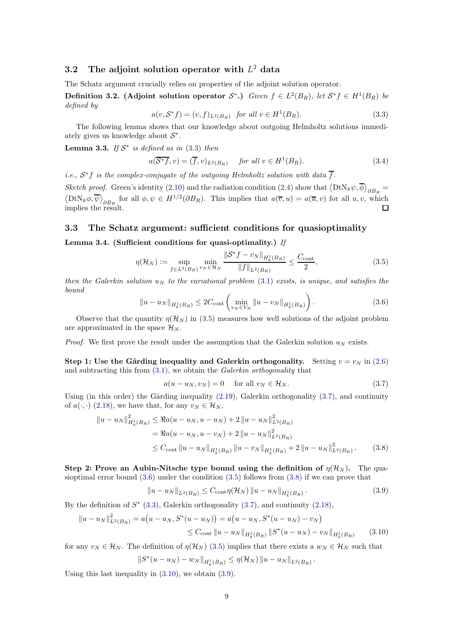## 3.2 The adjoint solution operator with  $L^2$  data

The Schatz argument crucially relies on properties of the adjoint solution operator.

**Definition 3.2.** (Adjoint solution operator  $S^*$ .) Given  $f \in L^2(B_R)$ , let  $S^*f \in H^1(B_R)$  be defined by

<span id="page-8-0"></span>
$$
a(v, \mathcal{S}^*f) = (v, f)_{L^2(B_R)} \text{ for all } v \in H^1(B_R). \tag{3.3}
$$

The following lemma shows that our knowledge about outgoing Helmholtz solutions immediately gives us knowledge about  $S^*$ .

<span id="page-8-8"></span>**Lemma 3.3.** If  $S^*$  is defined as in [\(3.3\)](#page-8-0) then

$$
a(\overline{\mathcal{S}^*f}, v) = (\overline{f}, v)_{L^2(B_R)} \quad \text{for all } v \in H^1(B_R). \tag{3.4}
$$

*i.e.*,  $S^*f$  is the complex-conjugate of the outgoing Helmholtz solution with data  $\overline{f}$ .

Sketch proof. Green's identity [\(2.10\)](#page-4-4) and the radiation condition [\(2.4\)](#page-2-2) show that  $\langle DtN_k\psi, \overline{\phi}\rangle_{\partial B_R}$  $\langle \text{DtN}_k \phi, \overline{\psi} \rangle_{\partial B_R}$  for all  $\phi, \psi \in H^{1/2}(\partial B_R)$ . This implies that  $a(\overline{v}, u) = a(\overline{u}, v)$  for all  $u, v$ , which implies the result. П

#### 3.3 The Schatz argument: sufficient conditions for quasioptimality

#### <span id="page-8-7"></span>Lemma 3.4. (Sufficient conditions for quasi-optimality.) If

<span id="page-8-1"></span>
$$
\eta(\mathcal{H}_N) := \sup_{f \in L^2(B_R)} \min_{v_N \in \mathcal{H}_N} \frac{\|\mathcal{S}^* f - v_N\|_{H^1_k(B_R)}}{\|f\|_{L^2(B_R)}} \le \frac{C_{\text{cont}}}{2},\tag{3.5}
$$

then the Galerkin solution  $u_N$  to the variational problem [\(3.1\)](#page-7-6) exists, is unique, and satisfies the bound

<span id="page-8-3"></span>
$$
||u - u_N||_{H^1_k(B_R)} \le 2C_{\text{cont}} \left( \min_{v_N \in V_N} ||u - v_N||_{H^1_k(B_R)} \right). \tag{3.6}
$$

Observe that the quantity  $\eta(\mathcal{H}_N)$  in [\(3.5\)](#page-8-1) measures how well solutions of the adjoint problem are approximated in the space  $\mathcal{H}_N$ .

*Proof.* We first prove the result under the assumption that the Galerkin solution  $u_N$  exists.

Step 1: Use the Gårding inequality and Galerkin orthogonality. Setting  $v = v_N$  in [\(2.6\)](#page-3-2) and subtracting this from  $(3.1)$ , we obtain the *Galerkin orthogonality* that

<span id="page-8-4"></span><span id="page-8-2"></span>
$$
a(u - u_N, v_N) = 0 \quad \text{for all } v_N \in \mathcal{H}_N. \tag{3.7}
$$

Using (in this order) the Gårding inequality  $(2.19)$ , Galerkin orthogonality  $(3.7)$ , and continuity of  $a(\cdot, \cdot)$  [\(2.18\)](#page-6-6), we have that, for any  $v_N \in \mathcal{H}_N$ ,

$$
\|u - u_N\|_{H^1_k(B_R)}^2 \le \Re a(u - u_N, u - u_N) + 2 \|u - u_N\|_{L^2(B_R)}^2
$$
  
=  $\Re a(u - u_N, u - v_N) + 2 \|u - u_N\|_{L^2(B_R)}^2$   

$$
\le C_{\text{cont}} \|u - u_N\|_{H^1_k(B_R)} \|u - v_N\|_{H^1_k(B_R)} + 2 \|u - u_N\|_{L^2(B_R)}^2.
$$
 (3.8)

Step 2: Prove an Aubin-Nitsche type bound using the definition of  $\eta(\mathcal{H}_N)$ . The quasioptimal error bound  $(3.6)$  under the condition  $(3.5)$  follows from  $(3.8)$  if we can prove that

<span id="page-8-6"></span><span id="page-8-5"></span>
$$
||u - u_N||_{L^2(B_R)} \le C_{\text{cont}} \eta(\mathcal{H}_N) ||u - u_N||_{H^1_k(B_R)}.
$$
\n(3.9)

By the definition of  $S^*$  [\(3.3\)](#page-8-0), Galerkin orthogonality [\(3.7\)](#page-8-2), and continuity [\(2.18\)](#page-6-6),

$$
||u - u_N||_{L^2(B_R)}^2 = a(u - u_N, S^*(u - u_N)) = a(u - u_N, S^*(u - u_N) - v_N)
$$
  
\n
$$
\leq C_{\text{cont}} ||u - u_N||_{H^1_k(B_R)} ||S^*(u - u_N) - v_N||_{H^1_k(B_R)} \qquad (3.10)
$$

for any  $v_N \in \mathcal{H}_N$ . The definition of  $\eta(\mathcal{H}_N)$  [\(3.5\)](#page-8-1) implies that there exists a  $w_N \in \mathcal{H}_N$  such that

$$
||S^*(u - u_N) - w_N||_{H^1_k(B_R)} \leq \eta(\mathcal{H}_N) ||u - u_N||_{L^2(B_R)}.
$$

Using this last inequality in [\(3.10\)](#page-8-5), we obtain [\(3.9\)](#page-8-6).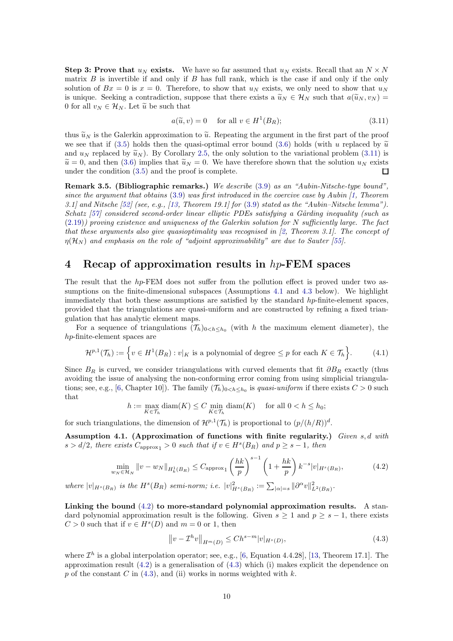**Step 3: Prove that**  $u_N$  exists. We have so far assumed that  $u_N$  exists. Recall that an  $N \times N$ matrix  $B$  is invertible if and only if  $B$  has full rank, which is the case if and only if the only solution of  $Bx = 0$  is  $x = 0$ . Therefore, to show that  $u_N$  exists, we only need to show that  $u_N$ is unique. Seeking a contradiction, suppose that there exists a  $\tilde{u}_N \in \mathcal{H}_N$  such that  $a(\tilde{u}_N, v_N)$  = 0 for all  $v_N \in \mathcal{H}_N$ . Let  $\tilde{u}$  be such that

<span id="page-9-1"></span>
$$
a(\widetilde{u}, v) = 0 \quad \text{ for all } v \in H^1(B_R); \tag{3.11}
$$

thus  $\tilde{u}_N$  is the Galerkin approximation to  $\tilde{u}$ . Repeating the argument in the first part of the proof we see that if [\(3.5\)](#page-8-1) holds then the quasi-optimal error bound [\(3.6\)](#page-8-3) holds (with u replaced by  $\tilde{u}$ and  $u_N$  replaced by  $\tilde{u}_N$ ). By Corollary [2.5,](#page-5-7) the only solution to the variational problem [\(3.11\)](#page-9-1) is  $\tilde{u} = 0$ , and then [\(3.6\)](#page-8-3) implies that  $\tilde{u}_N = 0$ . We have therefore shown that the solution  $u_N$  exists under the condition (3.5) and the proof is complete. under the condition [\(3.5\)](#page-8-1) and the proof is complete.

**Remark 3.5. (Bibliographic remarks.)** We describe  $(3.9)$  as an "Aubin-Nitsche-type bound", since the argument that obtains [\(3.9\)](#page-8-6) was first introduced in the coercive case by Aubin [\[1,](#page-20-3) Theorem 3.1] and Nitsche  $[52]$  (see, e.g., [\[13,](#page-21-19) Theorem 19.1] for  $(3.9)$  stated as the "Aubin–Nitsche lemma"). Schatz [\[57\]](#page-22-16) considered second-order linear elliptic PDEs satisfying a Gårding inequality (such as  $(2.19)$ ) proving existence and uniqueness of the Galerkin solution for N sufficiently large. The fact that these arguments also give quasioptimality was recognised in  $[2,$  Theorem 3.1]. The concept of  $\eta(\mathcal{H}_N)$  and emphasis on the role of "adjoint approximability" are due to Sauter [\[55\]](#page-22-17).

## <span id="page-9-0"></span>4 Recap of approximation results in hp-FEM spaces

The result that the hp-FEM does not suffer from the pollution effect is proved under two as-sumptions on the finite-dimensional subspaces (Assumptions [4.1](#page-9-2) and [4.3](#page-10-0) below). We highlight immediately that both these assumptions are satisfied by the standard hp-finite-element spaces, provided that the triangulations are quasi-uniform and are constructed by refining a fixed triangulation that has analytic element maps.

For a sequence of triangulations  $(\mathcal{T}_h)_{0 \leq h \leq h_0}$  (with h the maximum element diameter), the hp-finite-element spaces are

<span id="page-9-5"></span>
$$
\mathcal{H}^{p,1}(\mathcal{T}_h) := \left\{ v \in H^1(B_R) : v|_K \text{ is a polynomial of degree } \leq p \text{ for each } K \in \mathcal{T}_h \right\}.
$$
 (4.1)

Since  $B_R$  is curved, we consider triangulations with curved elements that fit  $\partial B_R$  exactly (thus avoiding the issue of analysing the non-conforming error coming from using simplicial triangula-tions; see, e.g., [\[6,](#page-21-18) Chapter 10]). The family  $(\mathcal{T}_h)_{0 is *quasi-uniform* if there exists  $C>0$  such$ that

$$
h := \max_{K \in \mathcal{T}_h} \text{diam}(K) \le C \min_{K \in \mathcal{T}_h} \text{diam}(K) \quad \text{ for all } 0 < h \le h_0;
$$

for such triangulations, the dimension of  $\mathcal{H}^{p,1}(\mathcal{T}_h)$  is proportional to  $(p/(h/R))^d$ .

<span id="page-9-2"></span>Assumption 4.1. (Approximation of functions with finite regularity.) Given  $s, d$  with  $s > d/2$ , there exists  $C_{\text{approx}_1} > 0$  such that if  $v \in H^s(B_R)$  and  $p \geq s - 1$ , then

<span id="page-9-3"></span>
$$
\min_{w_N \in \mathcal{H}_N} \|v - w_N\|_{H^1_k(B_R)} \le C_{\text{approx}_1} \left(\frac{hk}{p}\right)^{s-1} \left(1 + \frac{hk}{p}\right) k^{-s} |v|_{H^s(B_R)},\tag{4.2}
$$

where  $|v|_{H^s(B_R)}$  is the  $H^s(B_R)$  semi-norm; i.e.  $|v|_{H^s(B_R)}^2 := \sum_{|\alpha|=s} ||\partial^{\alpha}v||^2_{L^2(B_R)}$ .

Linking the bound  $(4.2)$  to more-standard polynomial approximation results. A standard polynomial approximation result is the following. Given  $s \ge 1$  and  $p \ge s - 1$ , there exists  $C > 0$  such that if  $v \in H<sup>s</sup>(D)$  and  $m = 0$  or 1, then

<span id="page-9-4"></span>
$$
||v - \mathcal{I}^h v||_{H^m(D)} \le Ch^{s-m} |v|_{H^s(D)},
$$
\n(4.3)

where  $\mathcal{I}^h$  is a global interpolation operator; see, e.g., [\[6,](#page-21-18) Equation 4.4.28], [\[13,](#page-21-19) Theorem 17.1]. The approximation result [\(4.2\)](#page-9-3) is a generalisation of [\(4.3\)](#page-9-4) which (i) makes explicit the dependence on p of the constant C in  $(4.3)$ , and (ii) works in norms weighted with k.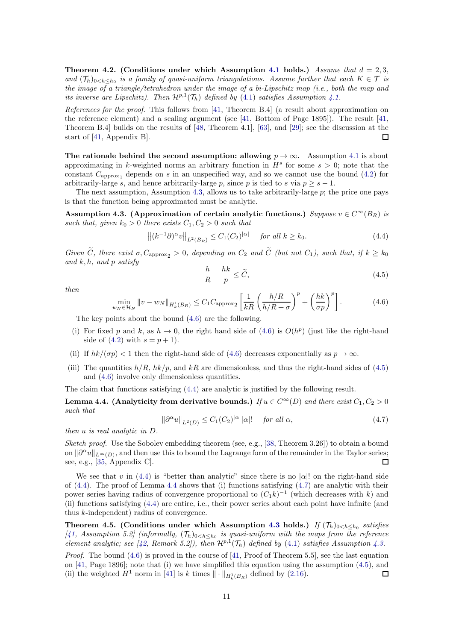Theorem 4.2. (Conditions under which Assumption [4.1](#page-9-2) holds.) Assume that  $d = 2, 3$ , and  $(\mathcal{T}_h)_{0\leq h\leq h_0}$  is a family of quasi-uniform triangulations. Assume further that each  $K\in\mathcal{T}$  is the image of a triangle/tetrahedron under the image of a bi-Lipschitz map (i.e., both the map and its inverse are Lipschitz). Then  $\mathcal{H}^{p,1}(\mathcal{T}_h)$  defined by [\(4.1\)](#page-9-5) satisfies Assumption [4.1.](#page-9-2)

References for the proof. This follows from [\[41,](#page-22-0) Theorem B.4] (a result about approximation on the reference element) and a scaling argument (see [\[41,](#page-22-0) Bottom of Page 1895]). The result [\[41,](#page-22-0) Theorem B.4] builds on the results of [\[48,](#page-22-26) Theorem 4.1], [\[63\]](#page-22-27), and [\[29\]](#page-21-28); see the discussion at the start of [\[41,](#page-22-0) Appendix B].  $\Box$ 

The rationale behind the second assumption: allowing  $p \to \infty$ . Assumption [4.1](#page-9-2) is about approximating in k-weighted norms an arbitrary function in  $H<sup>s</sup>$  for some  $s > 0$ ; note that the constant  $C_{\text{approx}_1}$  depends on s in an unspecified way, and so we cannot use the bound [\(4.2\)](#page-9-3) for arbitrarily-large s, and hence arbitrarily-large p, since p is tied to s via  $p > s - 1$ .

The next assumption, Assumption [4.3,](#page-10-0) allows us to take arbitrarily-large  $p$ ; the price one pays is that the function being approximated must be analytic.

<span id="page-10-0"></span>Assumption 4.3. (Approximation of certain analytic functions.) Suppose  $v \in C^{\infty}(B_R)$  is such that, given  $k_0 > 0$  there exists  $C_1, C_2 > 0$  such that

<span id="page-10-3"></span>
$$
\left\| (k^{-1}\partial)^{\alpha}v \right\|_{L^2(B_R)} \le C_1(C_2)^{|\alpha|} \quad \text{for all } k \ge k_0. \tag{4.4}
$$

Given  $\widetilde{C}$ , there exist  $\sigma$ ,  $C_{\text{approx}_{2}} > 0$ , depending on  $C_{2}$  and  $\widetilde{C}$  (but not  $C_{1}$ ), such that, if  $k \geq k_{0}$ and  $k, h, and p$  satisfy

<span id="page-10-2"></span>
$$
\frac{h}{R} + \frac{hk}{p} \le \widetilde{C},\tag{4.5}
$$

then

$$
\min_{N \in \mathcal{H}_N} \|v - w_N\|_{H^1_k(B_R)} \le C_1 C_{\text{approx}_2} \left[ \frac{1}{kR} \left( \frac{h/R}{h/R + \sigma} \right)^p + \left( \frac{hk}{\sigma p} \right)^p \right]. \tag{4.6}
$$

The key points about the bound [\(4.6\)](#page-10-1) are the following.

- (i) For fixed p and k, as  $h \to 0$ , the right hand side of  $(4.6)$  is  $O(h^p)$  (just like the right-hand side of  $(4.2)$  with  $s = p + 1$ .
- (ii) If  $hk/(\sigma p) < 1$  then the right-hand side of [\(4.6\)](#page-10-1) decreases exponentially as  $p \to \infty$ .
- (iii) The quantities  $h/R$ ,  $hk/p$ , and  $kR$  are dimensionless, and thus the right-hand sides of [\(4.5\)](#page-10-2) and [\(4.6\)](#page-10-1) involve only dimensionless quantities.

The claim that functions satisfying [\(4.4\)](#page-10-3) are analytic is justified by the following result.

<span id="page-10-4"></span>**Lemma 4.4.** (Analyticity from derivative bounds.) If  $u \in C^{\infty}(D)$  and there exist  $C_1, C_2 > 0$ such that

<span id="page-10-5"></span>
$$
\|\partial^{\alpha}u\|_{L^{2}(D)} \leq C_{1}(C_{2})^{|\alpha|}|\alpha|!\quad \text{ for all } \alpha,
$$
\n(4.7)

then u is real analytic in D.

<span id="page-10-1"></span> $w$ 

Sketch proof. Use the Sobolev embedding theorem (see, e.g., [\[38,](#page-22-20) Theorem 3.26]) to obtain a bound on  $\|\partial^{\alpha}u\|_{L^{\infty}(D)}$ , and then use this to bound the Lagrange form of the remainder in the Taylor series; see, e.g., [\[35,](#page-21-17) Appendix C].  $\Box$ 

We see that v in [\(4.4\)](#page-10-3) is "better than analytic" since there is no  $|\alpha|!$  on the right-hand side of  $(4.4)$  $(4.4)$  $(4.4)$ . The proof of Lemma 4.4 shows that (i) functions satisfying  $(4.7)$  are analytic with their power series having radius of convergence proportional to  $(C_1 k)^{-1}$  (which decreases with k) and (ii) functions satisfying [\(4.4\)](#page-10-3) are entire, i.e., their power series about each point have infinite (and thus k-independent) radius of convergence.

Theorem 4.5. (Conditions under which Assumption [4.3](#page-10-0) holds.) If  $(\mathcal{T}_h)_{0 satisfies$ [\[41,](#page-22-0) Assumption 5.2] (informally,  $(\mathcal{T}_h)_{0 \le h \le h_0}$  is quasi-uniform with the maps from the reference element analytic; see [\[42,](#page-22-1) Remark 5.2]), then  $\mathcal{H}^{p,1}(\mathcal{T}_h)$  defined by [\(4.1\)](#page-9-5) satisfies Assumption [4.3.](#page-10-0)

*Proof.* The bound  $(4.6)$  is proved in the course of [\[41,](#page-22-0) Proof of Theorem 5.5], see the last equation on [\[41,](#page-22-0) Page 1896]; note that (i) we have simplified this equation using the assumption [\(4.5\)](#page-10-2), and (ii) the weighted  $H^1$  norm in [\[41\]](#page-22-0) is k times  $\|\cdot\|_{H^1_k(B_R)}$  defined by [\(2.16\)](#page-5-5).  $\Box$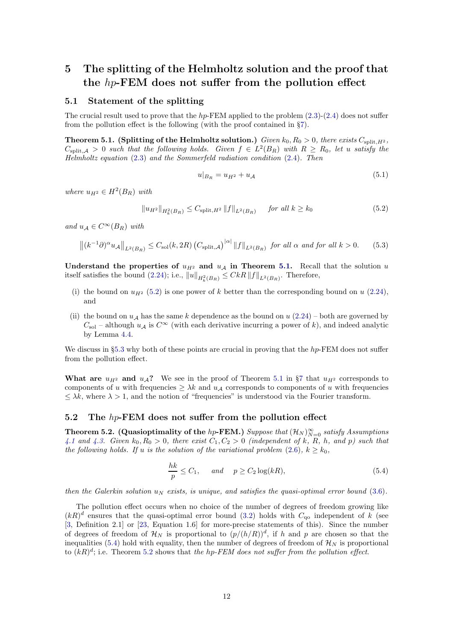## <span id="page-11-0"></span>5 The splitting of the Helmholtz solution and the proof that the hp-FEM does not suffer from the pollution effect

#### 5.1 Statement of the splitting

The crucial result used to prove that the hp-FEM applied to the problem  $(2.3)-(2.4)$  $(2.3)-(2.4)$  does not suffer from the pollution effect is the following (with the proof contained in §[7\)](#page-15-0).

<span id="page-11-1"></span>**Theorem 5.1.** (Splitting of the Helmholtz solution.) Given  $k_0$ ,  $R_0 > 0$ , there exists  $C_{\text{split},H^2}$ ,  $C_{split,A} > 0$  such that the following holds. Given  $f \in L^2(B_R)$  with  $R \ge R_0$ , let u satisfy the Helmholtz equation [\(2.3\)](#page-2-1) and the Sommerfeld radiation condition [\(2.4\)](#page-2-2). Then

<span id="page-11-6"></span>
$$
u|_{B_R} = u_{H^2} + u_{\mathcal{A}} \tag{5.1}
$$

where  $u_{H^2} \in H^2(B_R)$  with

<span id="page-11-2"></span>
$$
||u_{H^2}||_{H^2_k(B_R)} \le C_{\text{split},H^2} ||f||_{L^2(B_R)} \quad \text{for all } k \ge k_0
$$
 (5.2)

and  $u_A \in C^{\infty}(B_R)$  with

<span id="page-11-5"></span>
$$
\left\| (k^{-1}\partial)^{\alpha} u_{\mathcal{A}} \right\|_{L^{2}(B_{R})} \leq C_{\text{sol}}(k, 2R) \left( C_{\text{split}, \mathcal{A}} \right)^{|\alpha|} \left\| f \right\|_{L^{2}(B_{R})} \text{ for all } \alpha \text{ and for all } k > 0. \tag{5.3}
$$

Understand the properties of  $u_{H^2}$  and  $u_A$  in Theorem [5.1.](#page-11-1) Recall that the solution u itself satisfies the bound [\(2.24\)](#page-7-5); i.e.,  $||u||_{H_k^2(B_R)} \leq CkR ||f||_{L^2(B_R)}$ . Therefore,

- (i) the bound on  $u_{H^2}$  [\(5.2\)](#page-11-2) is one power of k better than the corresponding bound on u [\(2.24\)](#page-7-5), and
- (ii) the bound on  $u_A$  has the same k dependence as the bound on u [\(2.24\)](#page-7-5) both are governed by  $C_{\text{sol}}$  – although  $u_{\mathcal{A}}$  is  $C^{\infty}$  (with each derivative incurring a power of k), and indeed analytic by Lemma [4.4.](#page-10-4)

We discuss in §[5.3](#page-12-0) why both of these points are crucial in proving that the  $hp$ -FEM does not suffer from the pollution effect.

What are  $u_{H^2}$  and  $u_{A}$ ? We see in the proof of Theorem [5.1](#page-11-1) in §[7](#page-15-0) that  $u_{H^2}$  corresponds to components of u with frequencies  $\geq \lambda k$  and  $u_A$  corresponds to components of u with frequencies  $\leq \lambda k$ , where  $\lambda > 1$ , and the notion of "frequencies" is understood via the Fourier transform.

#### 5.2 The  $hp$ -FEM does not suffer from the pollution effect

<span id="page-11-4"></span>Theorem 5.2. (Quasioptimality of the hp-FEM.) Suppose that  $(\mathcal{H}_N)_{N=0}^{\infty}$  satisfy Assumptions [4.1](#page-9-2) and [4.3.](#page-10-0) Given  $k_0, R_0 > 0$ , there exist  $C_1, C_2 > 0$  (independent of k, R, h, and p) such that the following holds. If u is the solution of the variational problem  $(2.6)$ ,  $k \geq k_0$ ,

<span id="page-11-3"></span>
$$
\frac{hk}{p} \le C_1, \quad \text{and} \quad p \ge C_2 \log(kR), \tag{5.4}
$$

then the Galerkin solution  $u_N$  exists, is unique, and satisfies the quasi-optimal error bound [\(3.6\)](#page-8-3).

The pollution effect occurs when no choice of the number of degrees of freedom growing like  $(kR)^d$  ensures that the quasi-optimal error bound [\(3.2\)](#page-7-0) holds with  $C_{q0}$  independent of k (see [\[3,](#page-20-4) Definition 2.1] or [\[23,](#page-21-29) Equation 1.6] for more-precise statements of this). Since the number of degrees of freedom of  $\mathcal{H}_N$  is proportional to  $(p/(h/R))^d$ , if h and p are chosen so that the inequalities [\(5.4\)](#page-11-3) hold with equality, then the number of degrees of freedom of  $\mathcal{H}_N$  is proportional to  $(kR)^d$ ; i.e. Theorem [5.2](#page-11-4) shows that the hp-FEM does not suffer from the pollution effect.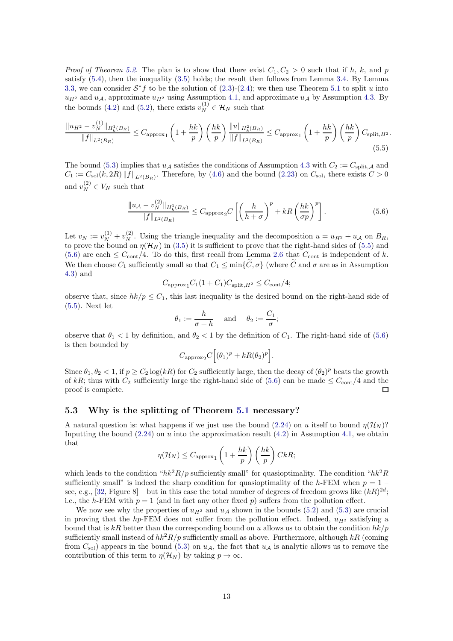*Proof of Theorem [5.2.](#page-11-4)* The plan is to show that there exist  $C_1, C_2 > 0$  such that if h, k, and p satisfy [\(5.4\)](#page-11-3), then the inequality [\(3.5\)](#page-8-1) holds; the result then follows from Lemma [3.4.](#page-8-7) By Lemma [3.3,](#page-8-8) we can consider  $S^*f$  to be the solution of  $(2.3)-(2.4)$  $(2.3)-(2.4)$ ; we then use Theorem [5.1](#page-11-1) to split u into  $u_{H2}$  and  $u_A$ , approximate  $u_{H2}$  using Assumption [4.1,](#page-9-2) and approximate  $u_A$  by Assumption [4.3.](#page-10-0) By the bounds [\(4.2\)](#page-9-3) and [\(5.2\)](#page-11-2), there exists  $v_N^{(1)} \in \mathcal{H}_N$  such that

$$
\frac{\|u_{H^2} - v_N^{(1)}\|_{H^1_k(B_R)}}{\|f\|_{L^2(B_R)}} \le C_{\text{approx}_1} \left(1 + \frac{hk}{p}\right) \left(\frac{hk}{p}\right) \frac{\|u\|_{H^2_k(B_R)}}{\|f\|_{L^2(B_R)}} \le C_{\text{approx}_1} \left(1 + \frac{hk}{p}\right) \left(\frac{hk}{p}\right) C_{\text{split},H^2}.
$$
\n
$$
(5.5)
$$

The bound [\(5.3\)](#page-11-5) implies that  $u_{\mathcal{A}}$  satisfies the conditions of Assumption [4.3](#page-10-0) with  $C_2 := C_{\text{split},\mathcal{A}}$  and  $C_1 := C_{\text{sol}}(k, 2R) ||f||_{L^2(B_R)}$ . Therefore, by [\(4.6\)](#page-10-1) and the bound [\(2.23\)](#page-7-4) on  $C_{\text{sol}}$ , there exists  $C > 0$ and  $v_N^{(2)} \in V_N$  such that

<span id="page-12-2"></span><span id="page-12-1"></span>
$$
\frac{\|u_{\mathcal{A}} - v_N^{(2)}\|_{H_k^1(B_R)}}{\|f\|_{L^2(B_R)}} \le C_{\text{approx}_2} C \left[ \left(\frac{h}{h+\sigma}\right)^p + kR \left(\frac{hk}{\sigma p}\right)^p \right]. \tag{5.6}
$$

Let  $v_N := v_N^{(1)} + v_N^{(2)}$ . Using the triangle inequality and the decomposition  $u = u_{H^2} + u_{\mathcal{A}}$  on  $B_R$ , to prove the bound on  $\eta(\mathcal{H}_N)$  in [\(3.5\)](#page-8-1) it is sufficient to prove that the right-hand sides of [\(5.5\)](#page-12-1) and [\(5.6\)](#page-12-2) are each  $\leq C_{\text{cont}}/4$ . To do this, first recall from Lemma [2.6](#page-6-1) that  $C_{\text{cont}}$  is independent of k. We then choose  $C_1$  sufficiently small so that  $C_1 \le \min\{\tilde{C}, \sigma\}$  (where  $\tilde{C}$  and  $\sigma$  are as in Assumption [4.3\)](#page-10-0) and

$$
C_{\text{approx}_1} C_1 (1 + C_1) C_{\text{split}, H^2} \le C_{\text{cont}} / 4;
$$

observe that, since  $hk/p \leq C_1$ , this last inequality is the desired bound on the right-hand side of [\(5.5\)](#page-12-1). Next let

$$
\theta_1 := \frac{h}{\sigma + h}
$$
 and  $\theta_2 := \frac{C_1}{\sigma}$ ;

observe that  $\theta_1 < 1$  by definition, and  $\theta_2 < 1$  by the definition of  $C_1$ . The right-hand side of [\(5.6\)](#page-12-2) is then bounded by

$$
C_{\text{approx2}}C\Big[(\theta_1)^p+kR(\theta_2)^p\Big].
$$

Since  $\theta_1, \theta_2 < 1$ , if  $p \ge C_2 \log(kR)$  for  $C_2$  sufficiently large, then the decay of  $(\theta_2)^p$  beats the growth of kR; thus with  $C_2$  sufficiently large the right-hand side of [\(5.6\)](#page-12-2) can be made  $\leq C_{\text{cont}}/4$  and the proof is complete.  $\Box$ 

#### <span id="page-12-0"></span>5.3 Why is the splitting of Theorem [5.1](#page-11-1) necessary?

A natural question is: what happens if we just use the bound [\(2.24\)](#page-7-5) on u itself to bound  $n(\mathcal{H}_N)$ ? Inputting the bound  $(2.24)$  on u into the approximation result  $(4.2)$  in Assumption [4.1,](#page-9-2) we obtain that

$$
\eta(\mathcal{H}_N) \leq C_{\text{approx}_1} \left( 1 + \frac{hk}{p} \right) \left( \frac{hk}{p} \right) CkR;
$$

which leads to the condition " $hk^2R/p$  sufficiently small" for quasioptimality. The condition " $hk^2R$ sufficiently small" is indeed the sharp condition for quasioptimality of the h-FEM when  $p = 1$ see, e.g., [\[32,](#page-21-2) Figure 8] – but in this case the total number of degrees of freedom grows like  $(kR)^{2d}$ ; i.e., the h-FEM with  $p = 1$  (and in fact any other fixed p) suffers from the pollution effect.

We now see why the properties of  $u_{H^2}$  and  $u_A$  shown in the bounds [\(5.2\)](#page-11-2) and [\(5.3\)](#page-11-5) are crucial in proving that the hp-FEM does not suffer from the pollution effect. Indeed,  $u_{H2}$  satisfying a bound that is kR better than the corresponding bound on u allows us to obtain the condition  $hk/p$ sufficiently small instead of  $hk^2R/p$  sufficiently small as above. Furthermore, although kR (coming from  $C_{\text{sol}}$ ) appears in the bound [\(5.3\)](#page-11-5) on  $u_{\mathcal{A}}$ , the fact that  $u_{\mathcal{A}}$  is analytic allows us to remove the contribution of this term to  $\eta(\mathcal{H}_N)$  by taking  $p \to \infty$ .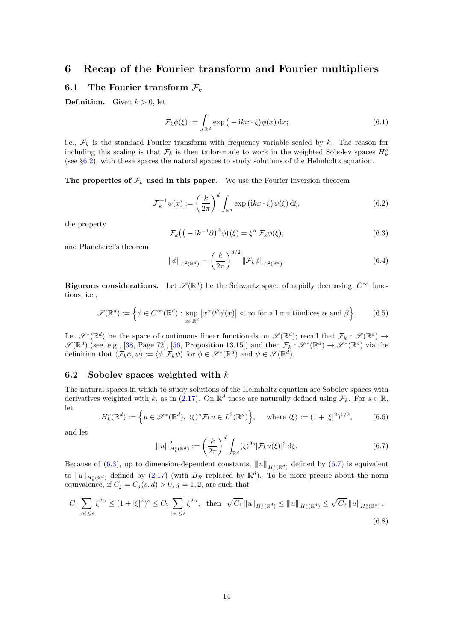## <span id="page-13-0"></span>6 Recap of the Fourier transform and Fourier multipliers

#### 6.1 The Fourier transform  $\mathcal{F}_k$

**Definition.** Given  $k > 0$ , let

<span id="page-13-4"></span>
$$
\mathcal{F}_k \phi(\xi) := \int_{\mathbb{R}^d} \exp\left(-ikx \cdot \xi\right) \phi(x) \, \mathrm{d}x; \tag{6.1}
$$

i.e.,  $\mathcal{F}_k$  is the standard Fourier transform with frequency variable scaled by k. The reason for including this scaling is that  $\mathcal{F}_k$  is then tailor-made to work in the weighted Sobolev spaces  $H_k^s$ (see §[6.2\)](#page-13-1), with these spaces the natural spaces to study solutions of the Helmholtz equation.

The properties of  $\mathcal{F}_k$  used in this paper. We use the Fourier inversion theorem

$$
\mathcal{F}_k^{-1}\psi(x) := \left(\frac{k}{2\pi}\right)^d \int_{\mathbb{R}^d} \exp\left(ikx \cdot \xi\right) \psi(\xi) \,d\xi,\tag{6.2}
$$

the property

<span id="page-13-2"></span>
$$
\mathcal{F}_k((-ik^{-1}\partial)^\alpha \phi)(\xi) = \xi^\alpha \mathcal{F}_k \phi(\xi),\tag{6.3}
$$

and Plancherel's theorem

<span id="page-13-5"></span>
$$
\|\phi\|_{L^2(\mathbb{R}^d)} = \left(\frac{k}{2\pi}\right)^{d/2} \|\mathcal{F}_k \phi\|_{L^2(\mathbb{R}^d)}.
$$
\n(6.4)

**Rigorous considerations.** Let  $\mathscr{S}(\mathbb{R}^d)$  be the Schwartz space of rapidly decreasing,  $C^{\infty}$  functions; i.e.,

$$
\mathscr{S}(\mathbb{R}^d) := \left\{ \phi \in C^{\infty}(\mathbb{R}^d) : \sup_{x \in \mathbb{R}^d} \left| x^{\alpha} \partial^{\beta} \phi(x) \right| < \infty \text{ for all multiindices } \alpha \text{ and } \beta \right\}.
$$
 (6.5)

Let  $\mathscr{S}^*(\mathbb{R}^d)$  be the space of continuous linear functionals on  $\mathscr{S}(\mathbb{R}^d)$ ; recall that  $\mathcal{F}_k : \mathscr{S}(\mathbb{R}^d) \to$  $\mathscr{S}(\mathbb{R}^d)$  (see, e.g., [\[38,](#page-22-20) Page 72], [\[56,](#page-22-28) Proposition 13.15]) and then  $\mathcal{F}_k : \mathscr{S}^*(\mathbb{R}^d) \to \mathscr{S}^*(\mathbb{R}^d)$  via the definition that  $\langle \mathcal{F}_k \phi, \psi \rangle := \langle \phi, \mathcal{F}_k \psi \rangle$  for  $\phi \in \mathscr{S}^*(\mathbb{R}^d)$  and  $\psi \in \mathscr{S}(\mathbb{R}^d)$ .

#### <span id="page-13-1"></span>6.2 Sobolev spaces weighted with  $k$

The natural spaces in which to study solutions of the Helmholtz equation are Sobolev spaces with derivatives weighted with k, as in [\(2.17\)](#page-5-6). On  $\mathbb{R}^d$  these are naturally defined using  $\mathcal{F}_k$ . For  $s \in \mathbb{R}$ , let

$$
H_k^s(\mathbb{R}^d) := \left\{ u \in \mathcal{S}^*(\mathbb{R}^d), \ \langle \xi \rangle^s \mathcal{F}_k u \in L^2(\mathbb{R}^d) \right\}, \quad \text{where } \langle \xi \rangle := (1 + |\xi|^2)^{1/2}, \tag{6.6}
$$

and let

<span id="page-13-3"></span>
$$
\|u\|_{H_k^s(\mathbb{R}^d)}^2 := \left(\frac{k}{2\pi}\right)^d \int_{\mathbb{R}^d} \langle \xi \rangle^{2s} |\mathcal{F}_k u(\xi)|^2 \, \mathrm{d}\xi. \tag{6.7}
$$

Because of [\(6.3\)](#page-13-2), up to dimension-dependent constants,  $||u||_{H_k^s(\mathbb{R}^d)}$  defined by [\(6.7\)](#page-13-3) is equivalent to  $||u||_{H^s_k(\mathbb{R}^d)}$  defined by [\(2.17\)](#page-5-6) (with  $B_R$  replaced by  $\mathbb{R}^d$ ). To be more precise about the norm equivalence, if  $C_j = C_j(s, d) > 0$ ,  $j = 1, 2$ , are such that

<span id="page-13-6"></span>
$$
C_1 \sum_{|\alpha| \le s} \xi^{2\alpha} \le (1 + |\xi|^2)^s \le C_2 \sum_{|\alpha| \le s} \xi^{2\alpha}, \text{ then } \sqrt{C_1} \|u\|_{H^s_k(\mathbb{R}^d)} \le \|u\|_{H^s_k(\mathbb{R}^d)} \le \sqrt{C_2} \|u\|_{H^s_k(\mathbb{R}^d)}.
$$
\n
$$
(6.8)
$$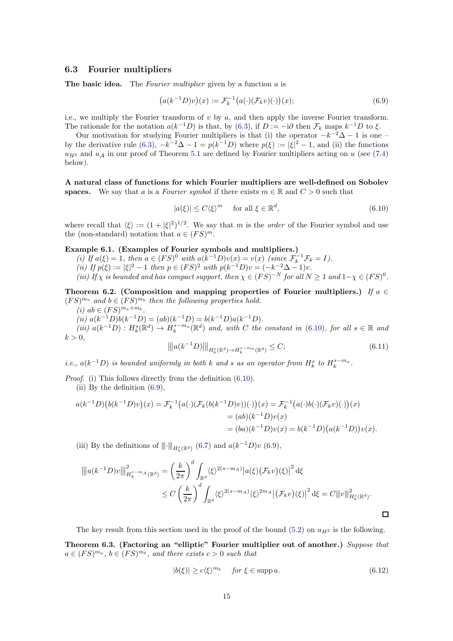#### 6.3 Fourier multipliers

**The basic idea.** The *Fourier multiplier* given by a function  $a$  is

<span id="page-14-1"></span>
$$
(a(k^{-1}D)v)(x) := \mathcal{F}_k^{-1}\big(a(\cdot)(\mathcal{F}_kv)(\cdot)\big)(x); \tag{6.9}
$$

i.e., we multiply the Fourier transform of  $v$  by  $a$ , and then apply the inverse Fourier transform. The rationale for the notation  $a(k^{-1}D)$  is that, by [\(6.3\)](#page-13-2), if  $D := -i\partial$  then  $\mathcal{F}_k$  maps  $k^{-1}D$  to  $\xi$ .

Our motivation for studying Fourier multipliers is that (i) the operator  $-k^{-2}\Delta - 1$  is one – by the derivative rule [\(6.3\)](#page-13-2),  $-k^{-2}\Delta - 1 = p(k^{-1}D)$  where  $p(\xi) := |\xi|^2 - 1$ , and (ii) the functions  $u_{H^2}$  and  $u_A$  in our proof of Theorem [5.1](#page-11-1) are defined by Fourier multipliers acting on u (see [\(7.4\)](#page-15-2) below).

A natural class of functions for which Fourier multipliers are well-defined on Sobolev spaces. We say that a is a Fourier symbol if there exists  $m \in \mathbb{R}$  and  $C > 0$  such that

<span id="page-14-0"></span>
$$
|a(\xi)| \le C \langle \xi \rangle^m \quad \text{ for all } \xi \in \mathbb{R}^d,
$$
\n
$$
(6.10)
$$

where recall that  $\langle \xi \rangle := (1 + |\xi|^2)^{1/2}$ . We say that m is the *order* of the Fourier symbol and use the (non-standard) notation that  $a \in (FS)^m$ .

#### <span id="page-14-6"></span>Example 6.1. (Examples of Fourier symbols and multipliers.)

(i) If  $a(\xi) = 1$ , then  $a \in (FS)^0$  with  $a(k^{-1}D)v(x) = v(x)$  (since  $\mathcal{F}_k^{-1}\mathcal{F}_k = I$ ). (ii) If  $p(\xi) := |\xi|^2 - 1$  then  $p \in (FS)^2$  with  $p(k^{-1}D)v = (-k^{-2}\Delta - 1)v$ . (iii) If  $\chi$  is bounded and has compact support, then  $\chi \in (FS)^{-N}$  for all  $N \geq 1$  and  $1-\chi \in (FS)^{0}$ .

<span id="page-14-3"></span>Theorem 6.2. (Composition and mapping properties of Fourier multipliers.) If  $a \in$  $(FS)^{m_a}$  and  $b \in (FS)^{m_b}$  then the following properties hold.

(*i*)  $ab \in (FS)^{m_a+m_b}$ .

(ii)  $a(k^{-1}D)b(k^{-1}D) = (ab)(k^{-1}D) = b(k^{-1}D)a(k^{-1}D)$ .

(iii)  $a(k^{-1}D): H_k^s(\mathbb{R}^d) \to H_k^{s-m_a}(\mathbb{R}^d)$  and, with C the constant in [\(6.10\)](#page-14-0), for all  $s \in \mathbb{R}$  and  $k > 0$ ,

<span id="page-14-5"></span>
$$
\| |a(k^{-1}D)| \|_{H_k^s(\mathbb{R}^d) \to H_k^{s-m_a}(\mathbb{R}^d)} \le C; \tag{6.11}
$$

*i.e.*,  $a(k^{-1}D)$  is bounded uniformly in both k and s as an operator from  $H_k^s$  to  $H_k^{s-m_a}$ .

Proof. (i) This follows directly from the definition [\(6.10\)](#page-14-0). (ii) By the definition [\(6.9\)](#page-14-1),

$$
a(k^{-1}D)(b(k^{-1}D)v)(x) = \mathcal{F}_k^{-1}(a(\cdot)(\mathcal{F}_k(b(k^{-1}D)v))(\cdot))(x) = \mathcal{F}_k^{-1}(a(\cdot)b(\cdot)(\mathcal{F}_kv)(\cdot))(x)
$$
  
=  $(ab)(k^{-1}D)v(x)$   
=  $(ba)(k^{-1}D)v(x) = b(k^{-1}D)(a(k^{-1}D))v(x).$ 

(iii) By the definitions of  $\|\cdot\|_{H^s_k(\mathbb{R}^d)}$  [\(6.7\)](#page-13-3) and  $a(k^{-1}D)v$  [\(6.9\)](#page-14-1),

$$
\|a(k^{-1}D)v\|_{H_k^{s-m_A}(\mathbb{R}^d)}^2 = \left(\frac{k}{2\pi}\right)^d \int_{\mathbb{R}^d} \langle \xi \rangle^{2(s-m_A)} |a(\xi)(\mathcal{F}_k v)(\xi)|^2 d\xi
$$
  

$$
\leq C \left(\frac{k}{2\pi}\right)^d \int_{\mathbb{R}^d} \langle \xi \rangle^{2(s-m_A)} \langle \xi \rangle^{2m_A} |(\mathcal{F}_k v)(\xi)|^2 d\xi = C \|v\|_{H_k^s(\mathbb{R}^d)}^2.
$$

The key result from this section used in the proof of the bound [\(5.2\)](#page-11-2) on  $u_{H2}$  is the following.

<span id="page-14-4"></span>Theorem 6.3. (Factoring an "elliptic" Fourier multiplier out of another.) Suppose that  $a \in (FS)^{m_a}, b \in (FS)^{m_b},$  and there exists  $c > 0$  such that

<span id="page-14-2"></span>
$$
|b(\xi)| \ge c \langle \xi \rangle^{m_b} \quad \text{for } \xi \in \text{supp } a. \tag{6.12}
$$

 $\Box$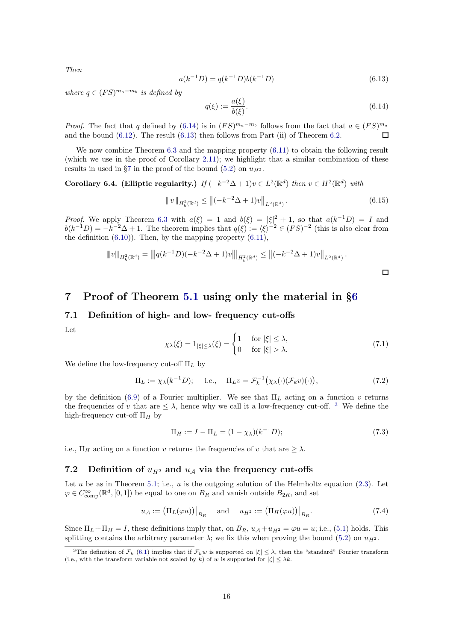Then

<span id="page-15-4"></span>
$$
a(k^{-1}D) = q(k^{-1}D)b(k^{-1}D)
$$
\n(6.13)

where  $q \in (FS)^{m_a-m_b}$  is defined by

<span id="page-15-3"></span>
$$
q(\xi) := \frac{a(\xi)}{b(\xi)}.\tag{6.14}
$$

 $\Box$ 

*Proof.* The fact that q defined by  $(6.14)$  is in  $(FS)^{m_a-m_b}$  follows from the fact that  $a \in (FS)^{m_a}$ and the bound  $(6.12)$ . The result  $(6.13)$  then follows from Part  $(ii)$  of Theorem [6.2.](#page-14-3) П

We now combine Theorem [6.3](#page-14-4) and the mapping property [\(6.11\)](#page-14-5) to obtain the following result (which we use in the proof of Corollary [2.11\)](#page-7-3); we highlight that a similar combination of these results in used in §[7](#page-15-0) in the proof of the bound [\(5.2\)](#page-11-2) on  $u_{H^2}$ .

<span id="page-15-1"></span>Corollary 6.4. (Elliptic regularity.) If  $(-k^{-2}\Delta + 1)v \in L^2(\mathbb{R}^d)$  then  $v \in H^2(\mathbb{R}^d)$  with

$$
\|v\|_{H_k^2(\mathbb{R}^d)} \le \|(-k^{-2}\Delta + 1)v\|_{L^2(\mathbb{R}^d)}.
$$
\n(6.15)

*Proof.* We apply Theorem [6.3](#page-14-4) with  $a(\xi) = 1$  and  $b(\xi) = |\xi|^2 + 1$ , so that  $a(k^{-1}D) = I$  and  $b(k^{-1}D) = -k^{-2}\Delta + 1$ . The theorem implies that  $q(\xi) := \langle \xi \rangle^{-2} \in (FS)^{-2}$  (this is also clear from the definition  $(6.10)$ ). Then, by the mapping property  $(6.11)$ ,

$$
||v||_{H_k^2(\mathbb{R}^d)} = |||q(k^{-1}D)(-k^{-2}\Delta+1)v||_{H_k^2(\mathbb{R}^d)} \le ||(-k^{-2}\Delta+1)v||_{L^2(\mathbb{R}^d)}.
$$

## <span id="page-15-0"></span>7 Proof of Theorem [5.1](#page-11-1) using only the material in §[6](#page-13-0)

## 7.1 Definition of high- and low- frequency cut-offs

Let

<span id="page-15-7"></span>
$$
\chi_{\lambda}(\xi) = 1_{|\xi| \le \lambda}(\xi) = \begin{cases} 1 & \text{for } |\xi| \le \lambda, \\ 0 & \text{for } |\xi| > \lambda. \end{cases} \tag{7.1}
$$

We define the low-frequency cut-off  $\Pi_L$  by

<span id="page-15-6"></span>
$$
\Pi_L := \chi_\lambda(k^{-1}D); \quad \text{i.e.,} \quad \Pi_L v = \mathcal{F}_k^{-1}(\chi_\lambda(\cdot)(\mathcal{F}_k v)(\cdot)), \tag{7.2}
$$

by the definition [\(6.9\)](#page-14-1) of a Fourier multiplier. We see that  $\Pi_L$  acting on a function v returns the frequencies of v that are  $\leq \lambda$ , hence why we call it a low-frequency cut-off. <sup>[3](#page-15-5)</sup> We define the high-frequency cut-off  $\Pi_H$  by

$$
\Pi_H := I - \Pi_L = (1 - \chi_\lambda)(k^{-1}D); \tag{7.3}
$$

i.e.,  $\Pi_H$  acting on a function v returns the frequencies of v that are  $\geq \lambda$ .

#### <span id="page-15-8"></span>7.2 Definition of  $u_{H^2}$  and  $u_A$  via the frequency cut-offs

Let  $u$  be as in Theorem [5.1;](#page-11-1) i.e.,  $u$  is the outgoing solution of the Helmholtz equation  $(2.3)$ . Let  $\varphi \in C^{\infty}_{\text{comp}}(\mathbb{R}^d, [0,1])$  be equal to one on  $B_R$  and vanish outside  $B_{2R}$ , and set

<span id="page-15-2"></span>
$$
u_{\mathcal{A}} := (\Pi_L(\varphi u))\Big|_{B_R} \quad \text{and} \quad u_{H^2} := (\Pi_H(\varphi u))\Big|_{B_R}.
$$
 (7.4)

Since  $\Pi_L + \Pi_H = I$ , these definitions imply that, on  $B_R$ ,  $u_A + u_{H^2} = \varphi u = u$ ; i.e., [\(5.1\)](#page-11-6) holds. This splitting contains the arbitrary parameter  $\lambda$ ; we fix this when proving the bound [\(5.2\)](#page-11-2) on  $u_{H^2}$ .

<span id="page-15-5"></span><sup>&</sup>lt;sup>3</sup>The definition of  $\mathcal{F}_k$  [\(6.1\)](#page-13-4) implies that if  $\mathcal{F}_k w$  is supported on  $|\xi| \leq \lambda$ , then the "standard" Fourier transform (i.e., with the transform variable not scaled by k) of w is supported for  $|\zeta| \leq \lambda k$ .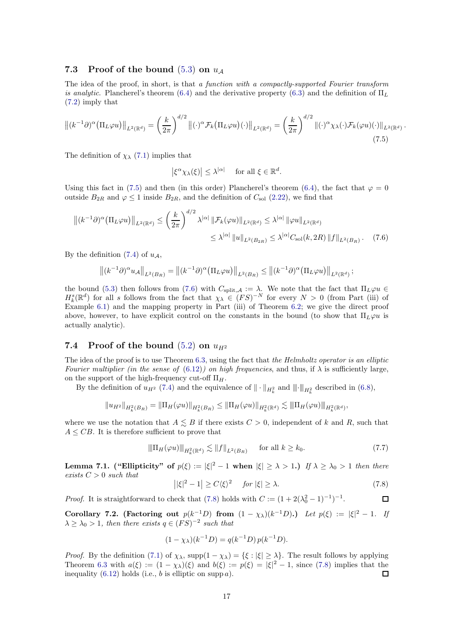#### <span id="page-16-5"></span>7.3 Proof of the bound  $(5.3)$  on  $u_A$

The idea of the proof, in short, is that a function with a compactly-supported Fourier transform is analytic. Plancherel's theorem [\(6.4\)](#page-13-5) and the derivative property [\(6.3\)](#page-13-2) and the definition of  $\Pi_L$ [\(7.2\)](#page-15-6) imply that

$$
\left\| (k^{-1}\partial)^{\alpha} \left( \Pi_L \varphi u \right) \right\|_{L^2(\mathbb{R}^d)} = \left( \frac{k}{2\pi} \right)^{d/2} \left\| (\cdot)^{\alpha} \mathcal{F}_k \left( \Pi_L \varphi u \right) (\cdot) \right\|_{L^2(\mathbb{R}^d)} = \left( \frac{k}{2\pi} \right)^{d/2} \left\| (\cdot)^{\alpha} \chi_\lambda (\cdot) \mathcal{F}_k(\varphi u) (\cdot) \right\|_{L^2(\mathbb{R}^d)}.
$$
\n(7.5)

The definition of  $\chi_{\lambda}$  [\(7.1\)](#page-15-7) implies that

<span id="page-16-1"></span><span id="page-16-0"></span> $|\xi^{\alpha}\chi_{\lambda}(\xi)| \leq \lambda^{|\alpha|}$  for all  $\xi \in \mathbb{R}^d$ .

Using this fact in [\(7.5\)](#page-16-0) and then (in this order) Plancherel's theorem [\(6.4\)](#page-13-5), the fact that  $\varphi = 0$ outside  $B_{2R}$  and  $\varphi \leq 1$  inside  $B_{2R}$ , and the definition of  $C_{\text{sol}}$  [\(2.22\)](#page-6-7), we find that

$$
\left\| (k^{-1}\partial)^{\alpha} (\Pi_L \varphi u) \right\|_{L^2(\mathbb{R}^d)} \leq \left( \frac{k}{2\pi} \right)^{d/2} \lambda^{|\alpha|} \left\| \mathcal{F}_k(\varphi u) \right\|_{L^2(\mathbb{R}^d)} \leq \lambda^{|\alpha|} \left\| \varphi u \right\|_{L^2(\mathbb{R}^d)}
$$

$$
\leq \lambda^{|\alpha|} \left\| u \right\|_{L^2(B_{2R})} \leq \lambda^{|\alpha|} C_{\text{sol}}(k, 2R) \left\| f \right\|_{L^2(B_R)} . \tag{7.6}
$$

By the definition [\(7.4\)](#page-15-2) of  $u_A$ ,

$$
\left\|(k^{-1}\partial)^{\alpha}u_{\mathcal{A}}\right\|_{L^{2}(B_{R})}=\left\|(k^{-1}\partial)^{\alpha}\left(\Pi_{L}\varphi u\right)\right\|_{L^{2}(B_{R})}\leq\left\|(k^{-1}\partial)^{\alpha}\left(\Pi_{L}\varphi u\right)\right\|_{L^{2}(\mathbb{R}^{d})};
$$

the bound [\(5.3\)](#page-11-5) then follows from [\(7.6\)](#page-16-1) with  $C_{split,A} := \lambda$ . We note that the fact that  $\Pi_L \varphi u \in$  $H_k^s(\mathbb{R}^d)$  for all s follows from the fact that  $\chi_{\lambda} \in (FS)^{-N}$  for every  $N > 0$  (from Part (iii) of Example [6.1\)](#page-14-6) and the mapping property in Part (iii) of Theorem [6.2;](#page-14-3) we give the direct proof above, however, to have explicit control on the constants in the bound (to show that  $\Pi_L\varphi u$  is actually analytic).

#### 7.4 Proof of the bound  $(5.2)$  on  $u_{H2}$

The idea of the proof is to use Theorem [6.3,](#page-14-4) using the fact that the Helmholtz operator is an elliptic Fourier multiplier (in the sense of  $(6.12)$ ) on high frequencies, and thus, if  $\lambda$  is sufficiently large, on the support of the high-frequency cut-off  $\Pi_H$ .

By the definition of  $u_{H^2}$  [\(7.4\)](#page-15-2) and the equivalence of  $\|\cdot\|_{H^2_k}$  and  $\|\cdot\|_{H^2_k}$  described in [\(6.8\)](#page-13-6),

$$
||u_{H^2}||_{H^2_k(B_R)} = ||\Pi_H(\varphi u)||_{H^2_k(B_R)} \le ||\Pi_H(\varphi u)||_{H^2_k(\mathbb{R}^d)} \lesssim ||\Pi_H(\varphi u)||_{H^2_k(\mathbb{R}^d)},
$$

where we use the notation that  $A \leq B$  if there exists  $C > 0$ , independent of k and R, such that  $A \leq CB$ . It is therefore sufficient to prove that

<span id="page-16-4"></span>
$$
\|\Pi_H(\varphi u)\|_{H^2_k(\mathbb{R}^d)} \lesssim \|f\|_{L^2(B_R)} \quad \text{for all } k \ge k_0. \tag{7.7}
$$

Lemma 7.1. ("Ellipticity" of  $p(\xi) := |\xi|^2 - 1$  when  $|\xi| \geq \lambda > 1$ .) If  $\lambda \geq \lambda_0 > 1$  then there exists  $C > 0$  such that

<span id="page-16-2"></span>
$$
||\xi|^2 - 1| \ge C\langle \xi \rangle^2 \quad \text{for } |\xi| \ge \lambda. \tag{7.8}
$$

*Proof.* It is straightforward to check that [\(7.8\)](#page-16-2) holds with  $C := (1 + 2(\lambda_0^2 - 1)^{-1})^{-1}$ .  $\Box$ 

<span id="page-16-3"></span>Corollary 7.2. (Factoring out  $p(k^{-1}D)$  from  $(1 - \chi_{\lambda})(k^{-1}D)$ .) Let  $p(\xi) := |\xi|^2 - 1$ . If  $\lambda \geq \lambda_0 > 1$ , then there exists  $q \in (FS)^{-2}$  such that

$$
(1 - \chi_{\lambda})(k^{-1}D) = q(k^{-1}D)p(k^{-1}D).
$$

*Proof.* By the definition [\(7.1\)](#page-15-7) of  $\chi_{\lambda}$ , supp $(1 - \chi_{\lambda}) = {\xi : |\xi| \geq \lambda}$ . The result follows by applying Theorem [6.3](#page-14-4) with  $a(\xi) := (1 - \chi_{\lambda})(\xi)$  and  $b(\xi) := p(\xi) = |\xi|^2 - 1$ , since [\(7.8\)](#page-16-2) implies that the inequality  $(6.12)$  holds (i.e., b is elliptic on supp a).  $\Box$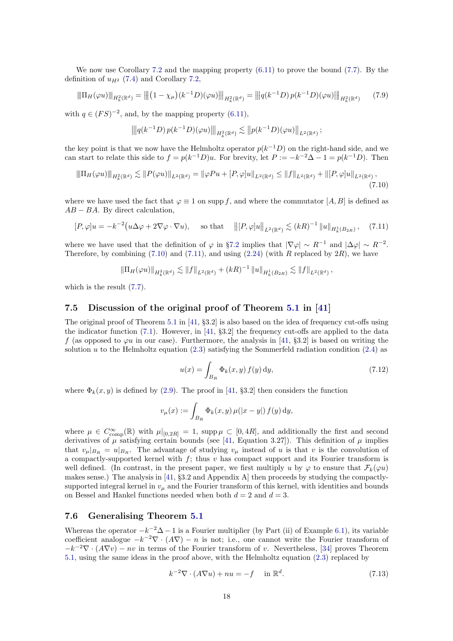We now use Corollary [7.2](#page-16-3) and the mapping property  $(6.11)$  to prove the bound  $(7.7)$ . By the definition of  $u_{H^2}$  [\(7.4\)](#page-15-2) and Corollary [7.2,](#page-16-3)

$$
\|\Pi_H(\varphi u)\|_{H^2_k(\mathbb{R}^d)} = \left\| \left(1 - \chi_\mu\right)(k^{-1}D)(\varphi u)\right\|_{H^2_k(\mathbb{R}^d)} = \left\| \left| q(k^{-1}D)p(k^{-1}D)(\varphi u)\right\|_{H^2_k(\mathbb{R}^d)}\tag{7.9}
$$

with  $q \in (FS)^{-2}$ , and, by the mapping property [\(6.11\)](#page-14-5),

<span id="page-17-2"></span>
$$
\left\| |q(k^{-1}D) p(k^{-1}D)(\varphi u)| \right\|_{H^2_k(\mathbb{R}^d)} \lesssim \| p(k^{-1}D)(\varphi u) \|_{L^2(\mathbb{R}^d)};
$$

the key point is that we now have the Helmholtz operator  $p(k^{-1}D)$  on the right-hand side, and we can start to relate this side to  $f = p(k^{-1}D)u$ . For brevity, let  $P := -k^{-2}\Delta - 1 = p(k^{-1}D)$ . Then

$$
\|\Pi_H(\varphi u)\|_{H^2_k(\mathbb{R}^d)} \lesssim \|P(\varphi u)\|_{L^2(\mathbb{R}^d)} = \|\varphi Pu + [P, \varphi]u\|_{L^2(\mathbb{R}^d)} \le \|f\|_{L^2(\mathbb{R}^d)} + \|[P, \varphi]u\|_{L^2(\mathbb{R}^d)},\tag{7.10}
$$

where we have used the fact that  $\varphi \equiv 1$  on supp f, and where the commutator  $[A, B]$  is defined as  $AB - BA$ . By direct calculation,

<span id="page-17-3"></span>
$$
[P,\varphi]u = -k^{-2}\left(u\Delta\varphi + 2\nabla\varphi\cdot\nabla u\right), \quad \text{so that} \quad \left\|[P,\varphi]u\right\|_{L^2(\mathbb{R}^d)} \lesssim (kR)^{-1} \left\|u\right\|_{H^1_k(B_{2R})}, \quad (7.11)
$$

where we have used that the definition of  $\varphi$  in §[7.2](#page-15-8) implies that  $|\nabla \varphi| \sim R^{-1}$  and  $|\Delta \varphi| \sim R^{-2}$ . Therefore, by combining  $(7.10)$  and  $(7.11)$ , and using  $(2.24)$  (with R replaced by  $2R$ ), we have

$$
\|\Pi_H(\varphi u)\|_{H^2_k(\mathbb{R}^d)} \lesssim \|f\|_{L^2(\mathbb{R}^d)} + (kR)^{-1} \|u\|_{H^1_k(B_{2R})} \lesssim \|f\|_{L^2(\mathbb{R}^d)},
$$

which is the result [\(7.7\)](#page-16-4).

#### 7.5 Discussion of the original proof of Theorem [5.1](#page-11-1) in [\[41\]](#page-22-0)

The original proof of Theorem [5.1](#page-11-1) in [\[41,](#page-22-0) §3.2] is also based on the idea of frequency cut-offs using the indicator function  $(7.1)$ . However, in [\[41,](#page-22-0) §3.2] the frequency cut-offs are applied to the data f (as opposed to  $\varphi u$  in our case). Furthermore, the analysis in [\[41,](#page-22-0) §3.2] is based on writing the solution u to the Helmholtz equation  $(2.3)$  satisfying the Sommerfeld radiation condition  $(2.4)$  as

<span id="page-17-1"></span>
$$
u(x) = \int_{B_R} \Phi_k(x, y) f(y) dy,
$$
\n(7.12)

where  $\Phi_k(x, y)$  is defined by [\(2.9\)](#page-4-5). The proof in [\[41,](#page-22-0) §3.2] then considers the function

$$
v_{\mu}(x) := \int_{B_R} \Phi_k(x, y) \,\mu(|x - y|) \, f(y) \, dy,
$$

where  $\mu \in C_{\text{comp}}^{\infty}(\mathbb{R})$  with  $\mu|_{[0,2R]} = 1$ , supp $\mu \subset [0, 4R]$ , and additionally the first and second derivatives of  $\mu$  satisfying certain bounds (see [\[41,](#page-22-0) Equation 3.27]). This definition of  $\mu$  implies that  $v_\mu|_{B_R} = u|_{B_R}$ . The advantage of studying  $v_\mu$  instead of u is that v is the convolution of a compactly-supported kernel with  $f$ ; thus v has compact support and its Fourier transform is well defined. (In contrast, in the present paper, we first multiply u by  $\varphi$  to ensure that  $\mathcal{F}_k(\varphi u)$ makes sense.) The analysis in [\[41,](#page-22-0) §3.2 and Appendix A] then proceeds by studying the compactlysupported integral kernel in  $v_{\mu}$  and the Fourier transform of this kernel, with identities and bounds on Bessel and Hankel functions needed when both  $d = 2$  and  $d = 3$ .

#### <span id="page-17-0"></span>7.6 Generalising Theorem [5.1](#page-11-1)

Whereas the operator  $-k^{-2}\Delta - 1$  is a Fourier multiplier (by Part (ii) of Example [6.1\)](#page-14-6), its variable coefficient analogue  $-k^{-2}\nabla \cdot (A\nabla) - n$  is not; i.e., one cannot write the Fourier transform of  $-k^{-2}\nabla \cdot (A\nabla v) - nv$  in terms of the Fourier transform of v. Nevertheless, [\[34\]](#page-21-1) proves Theorem [5.1,](#page-11-1) using the same ideas in the proof above, with the Helmholtz equation [\(2.3\)](#page-2-1) replaced by

<span id="page-17-4"></span>
$$
k^{-2}\nabla \cdot (A\nabla u) + nu = -f \quad \text{in } \mathbb{R}^d. \tag{7.13}
$$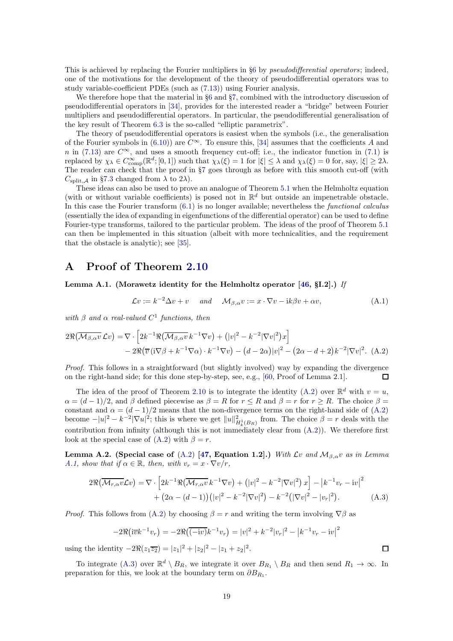This is achieved by replacing the Fourier multipliers in §[6](#page-13-0) by *pseudodifferential operators*; indeed, one of the motivations for the development of the theory of pseudodifferential operators was to study variable-coefficient PDEs (such as [\(7.13\)](#page-17-4)) using Fourier analysis.

We therefore hope that the material in  $\S6$  $\S6$  and  $\S7$ , combined with the introductory discussion of pseudodifferential operators in [\[34\]](#page-21-1), provides for the interested reader a "bridge" between Fourier multipliers and pseudodifferential operators. In particular, the pseudodifferential generalisation of the key result of Theorem [6.3](#page-14-4) is the so-called "elliptic parametrix".

The theory of pseudodifferential operators is easiest when the symbols (i.e., the generalisation of the Fourier symbols in [\(6.10\)](#page-14-0)) are  $C^{\infty}$ . To ensure this, [\[34\]](#page-21-1) assumes that the coefficients A and n in [\(7.13\)](#page-17-4) are  $C^{\infty}$ , and uses a smooth frequency cut-off; i.e., the indicator function in [\(7.1\)](#page-15-7) is replaced by  $\chi_{\lambda} \in C_{\text{comp}}^{\infty}(\mathbb{R}^d; [0, 1])$  such that  $\chi_{\lambda}(\xi) = 1$  for  $|\xi| \leq \lambda$  and  $\chi_{\lambda}(\xi) = 0$  for, say,  $|\xi| \geq 2\lambda$ . The reader can check that the proof in §[7](#page-15-0) goes through as before with this smooth cut-off (with  $C_{\text{split},\mathcal{A}}$  in §[7.3](#page-16-5) changed from  $\lambda$  to 2 $\lambda$ ).

These ideas can also be used to prove an analogue of Theorem [5.1](#page-11-1) when the Helmholtz equation (with or without variable coefficients) is posed not in  $\mathbb{R}^d$  but outside an impenetrable obstacle. In this case the Fourier transform  $(6.1)$  is no longer available; nevertheless the *functional calculus* (essentially the idea of expanding in eigenfunctions of the differential operator) can be used to define Fourier-type transforms, tailored to the particular problem. The ideas of the proof of Theorem [5.1](#page-11-1) can then be implemented in this situation (albeit with more technicalities, and the requirement that the obstacle is analytic); see [\[35\]](#page-21-17).

## <span id="page-18-0"></span>A Proof of Theorem [2.10](#page-7-7)

<span id="page-18-2"></span>Lemma A.1. (Morawetz identity for the Helmholtz operator [\[46,](#page-22-24) §I.2].) If

<span id="page-18-4"></span>
$$
\mathcal{L}v := k^{-2}\Delta v + v \quad \text{and} \quad \mathcal{M}_{\beta,\alpha}v := x \cdot \nabla v - ik\beta v + \alpha v,\tag{A.1}
$$

with  $\beta$  and  $\alpha$  real-valued  $C^1$  functions, then

$$
2\Re(\overline{\mathcal{M}_{\beta,\alpha}v}\mathcal{L}v) = \nabla \cdot \left[2k^{-1}\Re(\overline{\mathcal{M}_{\beta,\alpha}v}k^{-1}\nabla v) + (|v|^2 - k^{-2}|\nabla v|^2)x\right] - 2\Re(\overline{v}(i\nabla\beta + k^{-1}\nabla\alpha) \cdot k^{-1}\nabla v) - (d - 2\alpha)|v|^2 - (2\alpha - d + 2)k^{-2}|\nabla v|^2. (A.2)
$$

Proof. This follows in a straightforward (but slightly involved) way by expanding the divergence on the right-hand side; for this done step-by-step, see, e.g., [\[60,](#page-22-29) Proof of Lemma 2.1].  $\Box$ 

The idea of the proof of Theorem [2.10](#page-7-7) is to integrate the identity [\(A.2\)](#page-18-1) over  $\mathbb{R}^d$  with  $v = u$ ,  $\alpha = (d-1)/2$ , and  $\beta$  defined piecewise as  $\beta = R$  for  $r \leq R$  and  $\beta = r$  for  $r \geq R$ . The choice  $\beta =$ constant and  $\alpha = (d-1)/2$  means that the non-divergence terms on the right-hand side of [\(A.2\)](#page-18-1) become  $-|u|^2 - k^{-2} |\nabla u|^2$ ; this is where we get  $||u||^2_{H^1_k(B_R)}$  from. The choice  $\beta = r$  deals with the contribution from infinity (although this is not immediately clear from  $(A.2)$ ). We therefore first look at the special case of  $(A.2)$  with  $\beta = r$ .

Lemma A.2. (Special case of [\(A.2\)](#page-18-1) [\[47,](#page-22-23) Equation 1.2].) With  $\mathcal{L}v$  and  $\mathcal{M}_{\beta,\alpha}v$  as in Lemma [A.1,](#page-18-2) show that if  $\alpha \in \mathbb{R}$ , then, with  $v_r = x \cdot \nabla v/r$ ,

$$
2\Re(\overline{\mathcal{M}_{r,\alpha}v}\mathcal{L}v) = \nabla \cdot \left[2k^{-1}\Re(\overline{\mathcal{M}_{r,\alpha}v}k^{-1}\nabla v) + (|v|^2 - k^{-2}|\nabla v|^2) x\right] - |k^{-1}v_r - iv|^2
$$
  
+ 
$$
(2\alpha - (d-1)) (|v|^2 - k^{-2}|\nabla v|^2) - k^{-2} (|\nabla v|^2 - |v_r|^2).
$$
 (A.3)

*Proof.* This follows from [\(A.2\)](#page-18-1) by choosing  $\beta = r$  and writing the term involving  $\nabla \beta$  as

$$
-2\Re(i\overline{v}k^{-1}v_r) = -2\Re((-iv)k^{-1}v_r) = |v|^2 + k^{-2}|v_r|^2 - |k^{-1}v_r - iv|^2
$$

using the identity  $-2\Re(z_1\overline{z_2}) = |z_1|^2 + |z_2|^2 - |z_1 + z_2|^2$ .

To integrate [\(A.3\)](#page-18-3) over  $\mathbb{R}^d \setminus B_R$ , we integrate it over  $B_{R_1} \setminus B_R$  and then send  $R_1 \to \infty$ . In preparation for this, we look at the boundary term on  $\partial B_{R_1}$ .

<span id="page-18-3"></span><span id="page-18-1"></span> $\Box$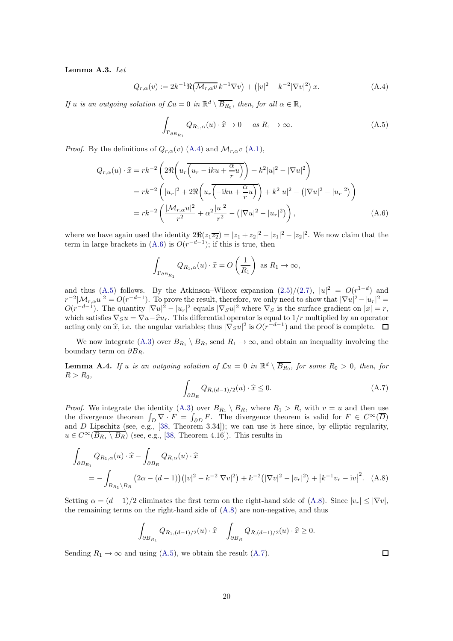#### <span id="page-19-5"></span>Lemma A.3. Let

<span id="page-19-0"></span>
$$
Q_{r,\alpha}(v) := 2k^{-1} \Re \left( \overline{\mathcal{M}_{r,\alpha} v} \, k^{-1} \nabla v \right) + \left( |v|^2 - k^{-2} |\nabla v|^2 \right) x. \tag{A.4}
$$

If u is an outgoing solution of  $\mathcal{L}u = 0$  in  $\mathbb{R}^d \setminus \overline{B_{R_0}}$ , then, for all  $\alpha \in \mathbb{R}$ ,

<span id="page-19-2"></span>
$$
\int_{\Gamma_{\partial B_{R_1}}} Q_{R_1,\alpha}(u) \cdot \hat{x} \to 0 \quad \text{as } R_1 \to \infty.
$$
\n(A.5)

*Proof.* By the definitions of  $Q_{r,\alpha}(v)$  [\(A.4\)](#page-19-0) and  $\mathcal{M}_{r,\alpha}v$  [\(A.1\)](#page-18-4),

$$
Q_{r,\alpha}(u) \cdot \hat{x} = rk^{-2} \left( 2\Re\left( u_r \overline{\left( u_r - iku + \frac{\alpha}{r}u \right)} \right) + k^2 |u|^2 - |\nabla u|^2 \right)
$$
  
=  $rk^{-2} \left( |u_r|^2 + 2\Re\left( u_r \overline{\left( -iku + \frac{\alpha}{r}u \right)} \right) + k^2 |u|^2 - (|\nabla u|^2 - |u_r|^2) \right)$   
=  $rk^{-2} \left( \frac{|\mathcal{M}_{r,\alpha}u|^2}{r^2} + \alpha^2 \frac{|u|^2}{r^2} - (|\nabla u|^2 - |u_r|^2) \right),$  (A.6)

where we have again used the identity  $2\Re(z_1\overline{z_2}) = |z_1+z_2|^2 - |z_1|^2 - |z_2|^2$ . We now claim that the term in large brackets in  $(A.6)$  is  $O(r^{-d-1})$ ; if this is true, then

<span id="page-19-1"></span>
$$
\int_{\Gamma_{\partial B_{R_1}}} Q_{R_1,\alpha}(u) \cdot \widehat{x} = O\left(\frac{1}{R_1}\right) \text{ as } R_1 \to \infty,
$$

and thus [\(A.5\)](#page-19-2) follows. By the Atkinson–Wilcox expansion  $(2.5)/(2.7)$  $(2.5)/(2.7)$ ,  $|u|^2 = O(r^{1-d})$  and  $r^{-2}|\mathcal{M}_{r,\alpha}u|^2 = O(r^{-d-1})$ . To prove the result, therefore, we only need to show that  $|\nabla u|^2 - |u_r|^2 =$  $O(r^{-d-1})$ . The quantity  $|\nabla u|^2 - |u_r|^2$  equals  $|\nabla_S u|^2$  where  $\nabla_S$  is the surface gradient on  $|x| = r$ , which satisfies  $\nabla_S u = \nabla u - \hat{x} u_r$ . This differential operator is equal to  $1/r$  multiplied by an operator acting only on  $\hat{x}$ , i.e. the angular variables; thus  $|\nabla_S u|^2$  is  $O(r^{-d-1})$  and the proof is complete.

We now integrate [\(A.3\)](#page-18-3) over  $B_{R_1} \setminus B_R$ , send  $R_1 \to \infty$ , and obtain an inequality involving the boundary term on  $\partial B_R$ .

<span id="page-19-6"></span>**Lemma A.4.** If u is an outgoing solution of  $\mathcal{L}u = 0$  in  $\mathbb{R}^d \setminus \overline{B_{R_0}}$ , for some  $R_0 > 0$ , then, for  $R > R_0$ ,

<span id="page-19-4"></span>
$$
\int_{\partial B_R} Q_{R,(d-1)/2}(u) \cdot \widehat{x} \le 0. \tag{A.7}
$$

*Proof.* We integrate the identity [\(A.3\)](#page-18-3) over  $B_{R_1} \setminus B_R$ , where  $R_1 > R$ , with  $v = u$  and then use the divergence theorem  $\int_D \nabla \cdot F = \int_{\partial D} F$ . The divergence theorem is valid for  $F \in C^{\infty}(\overline{D})$ and D Lipschitz (see, e.g.,  $[38,$  Theorem 3.34]); we can use it here since, by elliptic regularity,  $u \in C^{\infty}(\overline{B_{R_1} \setminus B_R})$  (see, e.g., [\[38,](#page-22-20) Theorem 4.16]). This results in

$$
\int_{\partial B_{R_1}} Q_{R_1,\alpha}(u) \cdot \hat{x} - \int_{\partial B_R} Q_{R,\alpha}(u) \cdot \hat{x}
$$
\n
$$
= - \int_{B_{R_1} \setminus B_R} (2\alpha - (d-1)) (|v|^2 - k^{-2} |\nabla v|^2) + k^{-2} (|\nabla v|^2 - |v_r|^2) + |k^{-1}v_r - iv|^2. \quad (A.8)
$$

Setting  $\alpha = (d-1)/2$  eliminates the first term on the right-hand side of [\(A.8\)](#page-19-3). Since  $|v_r| \leq |\nabla v|$ , the remaining terms on the right-hand side of  $(A.8)$  are non-negative, and thus

$$
\int_{\partial B_{R_1}} Q_{R_1,(d-1)/2}(u) \cdot \widehat{x} - \int_{\partial B_R} Q_{R,(d-1)/2}(u) \cdot \widehat{x} \ge 0.
$$

Sending  $R_1 \rightarrow \infty$  and using [\(A.5\)](#page-19-2), we obtain the result [\(A.7\)](#page-19-4).

<span id="page-19-3"></span> $\Box$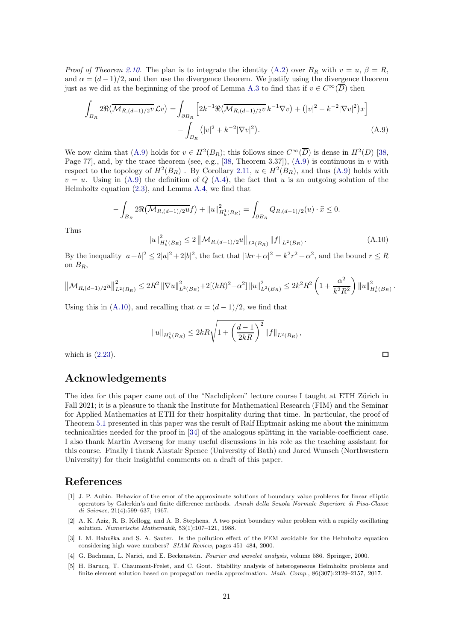*Proof of Theorem [2.10.](#page-7-7)* The plan is to integrate the identity [\(A.2\)](#page-18-1) over  $B_R$  with  $v = u, \beta = R$ , and  $\alpha = (d-1)/2$ , and then use the divergence theorem. We justify using the divergence theorem just as we did at the beginning of the proof of Lemma [A.3](#page-19-5) to find that if  $v \in C^{\infty}(\overline{D})$  then

$$
\int_{B_R} 2\Re\left(\overline{\mathcal{M}_{R,(d-1)/2v}} \mathcal{L}v\right) = \int_{\partial B_R} \left[2k^{-1}\Re\left(\overline{\mathcal{M}_{R,(d-1)/2v}} k^{-1} \nabla v\right) + (|v|^2 - k^{-2}|\nabla v|^2)x\right] - \int_{B_R} (|v|^2 + k^{-2}|\nabla v|^2). \tag{A.9}
$$

We now claim that [\(A.9\)](#page-20-5) holds for  $v \in H^2(B_R)$ ; this follows since  $C^{\infty}(\overline{D})$  is dense in  $H^2(D)$  [\[38,](#page-22-20) Page 77, and, by the trace theorem (see, e.g., [\[38,](#page-22-20) Theorem 3.37]),  $(A.9)$  is continuous in v with respect to the topology of  $H^2(B_R)$ . By Corollary [2.11,](#page-7-3)  $u \in H^2(B_R)$ , and thus [\(A.9\)](#page-20-5) holds with  $v = u$ . Using in [\(A.9\)](#page-20-5) the definition of Q [\(A.4\)](#page-19-0), the fact that u is an outgoing solution of the Helmholtz equation [\(2.3\)](#page-2-1), and Lemma [A.4,](#page-19-6) we find that

$$
-\int_{B_R} 2\Re\big(\overline{\mathcal{M}_{R,(d-1)/2}u}f\big) + \|u\|_{H^1_k(B_R)}^2 = \int_{\partial B_R} Q_{R,(d-1)/2}(u) \cdot \widehat{x} \le 0.
$$

Thus

<span id="page-20-6"></span>
$$
||u||_{H_k^1(B_R)}^2 \le 2 ||\mathcal{M}_{R,(d-1)/2}u||_{L^2(B_R)} ||f||_{L^2(B_R)}.
$$
\n(A.10)

<span id="page-20-5"></span> $\Box$ 

By the inequality  $|a+b|^2 \leq 2|a|^2 + 2|b|^2$ , the fact that  $|ikr + \alpha|^2 = k^2r^2 + \alpha^2$ , and the bound  $r \leq R$ on  $B_R$ ,

$$
\left\|{\cal M}_{R,(d-1)/2}u\right\|_{L^2(B_R)}^2\leq 2R^2\left\|\nabla u\right\|_{L^2(B_R)}^2+2[(kR)^2+\alpha^2]\left\|u\right\|_{L^2(B_R)}^2\leq 2k^2R^2\left(1+\frac{\alpha^2}{k^2R^2}\right)\left\|u\right\|_{H_k^1(B_R)}^2.
$$

Using this in [\(A.10\)](#page-20-6), and recalling that  $\alpha = (d-1)/2$ , we find that

$$
||u||_{H^1_k(B_R)} \leq 2kR\sqrt{1 + \left(\frac{d-1}{2kR}\right)^2} ||f||_{L^2(B_R)},
$$

which is [\(2.23\)](#page-7-4).

## Acknowledgements

The idea for this paper came out of the "Nachdiplom" lecture course I taught at ETH Zürich in Fall 2021; it is a pleasure to thank the Institute for Mathematical Research (FIM) and the Seminar for Applied Mathematics at ETH for their hospitality during that time. In particular, the proof of Theorem [5.1](#page-11-1) presented in this paper was the result of Ralf Hiptmair asking me about the minimum technicalities needed for the proof in [\[34\]](#page-21-1) of the analogous splitting in the variable-coefficient case. I also thank Martin Averseng for many useful discussions in his role as the teaching assistant for this course. Finally I thank Alastair Spence (University of Bath) and Jared Wunsch (Northwestern University) for their insightful comments on a draft of this paper.

## <span id="page-20-3"></span>References

- [1] J. P. Aubin. Behavior of the error of the approximate solutions of boundary value problems for linear elliptic operators by Galerkin's and finite difference methods. Annali della Scuola Normale Superiore di Pisa-Classe di Scienze, 21(4):599–637, 1967.
- <span id="page-20-0"></span>[2] A. K. Aziz, R. B. Kellogg, and A. B. Stephens. A two point boundary value problem with a rapidly oscillating solution. Numerische Mathematik, 53(1):107–121, 1988.
- <span id="page-20-4"></span>[3] I. M. Babuška and S. A. Sauter. Is the pollution effect of the FEM avoidable for the Helmholtz equation considering high wave numbers? SIAM Review, pages 451–484, 2000.
- <span id="page-20-2"></span><span id="page-20-1"></span>[4] G. Bachman, L. Narici, and E. Beckenstein. Fourier and wavelet analysis, volume 586. Springer, 2000.
- [5] H. Barucq, T. Chaumont-Frelet, and C. Gout. Stability analysis of heterogeneous Helmholtz problems and finite element solution based on propagation media approximation. Math. Comp., 86(307):2129–2157, 2017.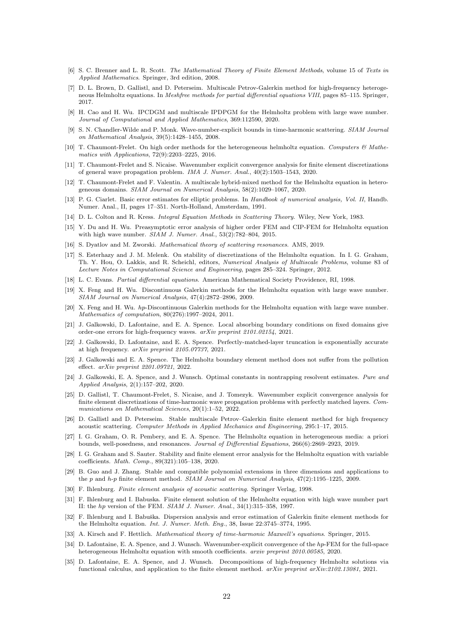- <span id="page-21-18"></span>[6] S. C. Brenner and L. R. Scott. The Mathematical Theory of Finite Element Methods, volume 15 of Texts in Applied Mathematics. Springer, 3rd edition, 2008.
- <span id="page-21-13"></span>[7] D. L. Brown, D. Gallistl, and D. Peterseim. Multiscale Petrov-Galerkin method for high-frequency heterogeneous Helmholtz equations. In Meshfree methods for partial differential equations VIII, pages 85–115. Springer, 2017.
- <span id="page-21-11"></span>[8] H. Cao and H. Wu. IPCDGM and multiscale IPDPGM for the Helmholtz problem with large wave number. Journal of Computational and Applied Mathematics, 369:112590, 2020.
- <span id="page-21-22"></span>[9] S. N. Chandler-Wilde and P. Monk. Wave-number-explicit bounds in time-harmonic scattering. SIAM Journal on Mathematical Analysis, 39(5):1428–1455, 2008.
- <span id="page-21-10"></span>[10] T. Chaumont-Frelet. On high order methods for the heterogeneous helmholtz equation. Computers  $\mathcal{C}$  Mathematics with Applications, 72(9):2203–2225, 2016.
- <span id="page-21-14"></span>[11] T. Chaumont-Frelet and S. Nicaise. Wavenumber explicit convergence analysis for finite element discretizations of general wave propagation problem. IMA J. Numer. Anal., 40(2):1503–1543, 2020.
- <span id="page-21-12"></span>[12] T. Chaumont-Frelet and F. Valentin. A multiscale hybrid-mixed method for the Helmholtz equation in heterogeneous domains. SIAM Journal on Numerical Analysis, 58(2):1029–1067, 2020.
- <span id="page-21-19"></span>[13] P. G. Ciarlet. Basic error estimates for elliptic problems. In Handbook of numerical analysis, Vol. II, Handb. Numer. Anal., II, pages 17–351. North-Holland, Amsterdam, 1991.
- <span id="page-21-20"></span><span id="page-21-5"></span>[14] D. L. Colton and R. Kress. Integral Equation Methods in Scattering Theory. Wiley, New York, 1983.
- [15] Y. Du and H. Wu. Preasymptotic error analysis of higher order FEM and CIP-FEM for Helmholtz equation with high wave number. SIAM J. Numer. Anal., 53(2):782–804, 2015.
- <span id="page-21-24"></span><span id="page-21-0"></span>[16] S. Dyatlov and M. Zworski. Mathematical theory of scattering resonances. AMS, 2019.
- [17] S. Esterhazy and J. M. Melenk. On stability of discretizations of the Helmholtz equation. In I. G. Graham, Th. Y. Hou, O. Lakkis, and R. Scheichl, editors, Numerical Analysis of Multiscale Problems, volume 83 of Lecture Notes in Computational Science and Engineering, pages 285–324. Springer, 2012.
- <span id="page-21-23"></span><span id="page-21-7"></span>[18] L. C. Evans. Partial differential equations. American Mathematical Society Providence, RI, 1998.
- [19] X. Feng and H. Wu. Discontinuous Galerkin methods for the Helmholtz equation with large wave number. SIAM Journal on Numerical Analysis, 47(4):2872–2896, 2009.
- <span id="page-21-8"></span>[20] X. Feng and H. Wu. hp-Discontinuous Galerkin methods for the Helmholtz equation with large wave number. Mathematics of computation, 80(276):1997–2024, 2011.
- <span id="page-21-26"></span>[21] J. Galkowski, D. Lafontaine, and E. A. Spence. Local absorbing boundary conditions on fixed domains give order-one errors for high-frequency waves. arXiv preprint 2101.02154, 2021.
- <span id="page-21-27"></span>[22] J. Galkowski, D. Lafontaine, and E. A. Spence. Perfectly-matched-layer truncation is exponentially accurate at high frequency. arXiv preprint 2105.07737, 2021.
- <span id="page-21-29"></span>[23] J. Galkowski and E. A. Spence. The Helmholtz boundary element method does not suffer from the pollution effect. arXiv preprint 2201.09721, 2022.
- <span id="page-21-15"></span>[24] J. Galkowski, E. A. Spence, and J. Wunsch. Optimal constants in nontrapping resolvent estimates. Pure and Applied Analysis, 2(1):157–202, 2020.
- <span id="page-21-6"></span>[25] D. Gallistl, T. Chaumont-Frelet, S. Nicaise, and J. Tomezyk. Wavenumber explicit convergence analysis for finite element discretizations of time-harmonic wave propagation problems with perfectly matched layers. Communications on Mathematical Sciences, 20(1):1-52, 2022.
- <span id="page-21-9"></span>[26] D. Gallistl and D. Peterseim. Stable multiscale Petrov–Galerkin finite element method for high frequency acoustic scattering. Computer Methods in Applied Mechanics and Engineering, 295:1–17, 2015.
- <span id="page-21-25"></span>[27] I. G. Graham, O. R. Pembery, and E. A. Spence. The Helmholtz equation in heterogeneous media: a priori bounds, well-posedness, and resonances. Journal of Differential Equations, 266(6):2869–2923, 2019.
- <span id="page-21-16"></span>[28] I. G. Graham and S. Sauter. Stability and finite element error analysis for the Helmholtz equation with variable coefficients. Math. Comp., 89(321):105–138, 2020.
- <span id="page-21-28"></span>[29] B. Guo and J. Zhang. Stable and compatible polynomial extensions in three dimensions and applications to the p and h-p finite element method. SIAM Journal on Numerical Analysis, 47(2):1195–1225, 2009.
- <span id="page-21-4"></span><span id="page-21-3"></span>[30] F. Ihlenburg. Finite element analysis of acoustic scattering. Springer Verlag, 1998.
- [31] F. Ihlenburg and I. Babuska. Finite element solution of the Helmholtz equation with high wave number part II: the hp version of the FEM. SIAM J. Numer. Anal., 34(1):315–358, 1997.
- <span id="page-21-2"></span>[32] F. Ihlenburg and I. Babuška. Dispersion analysis and error estimation of Galerkin finite element methods for the Helmholtz equation. Int. J. Numer. Meth. Eng., 38, Issue 22:3745–3774, 1995.
- <span id="page-21-21"></span><span id="page-21-1"></span>[33] A. Kirsch and F. Hettlich. Mathematical theory of time-harmonic Maxwell's equations. Springer, 2015.
- [34] D. Lafontaine, E. A. Spence, and J. Wunsch. Wavenumber-explicit convergence of the hp-FEM for the full-space heterogeneous Helmholtz equation with smooth coefficients. arxiv preprint 2010.00585, 2020.
- <span id="page-21-17"></span>[35] D. Lafontaine, E. A. Spence, and J. Wunsch. Decompositions of high-frequency Helmholtz solutions via functional calculus, and application to the finite element method. arXiv preprint arXiv:2102.13081, 2021.